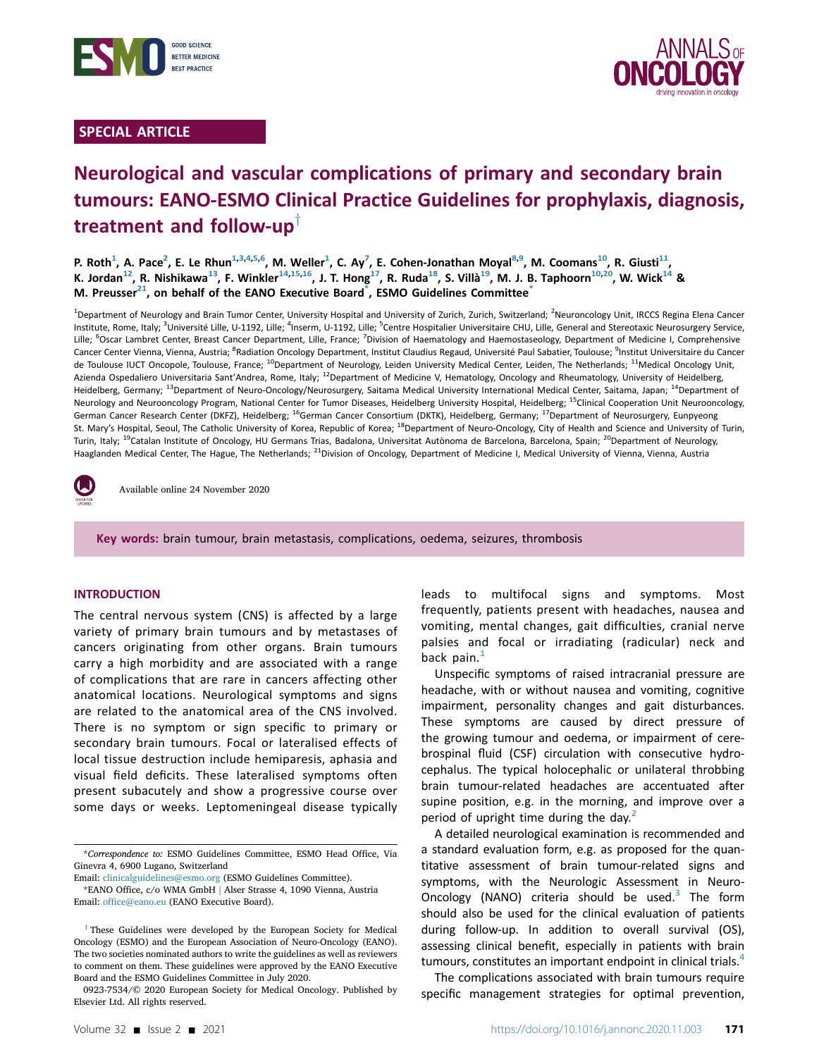

# SPECIAL ARTICLE



# Neurological and vascular complications of primary and secondary brain tumours: EANO-ESMO Clinical Practice Guidelines for prophylaxis, diagnosis, treatment and follow-up

P. Roth<sup>1</sup>, A. Pace<sup>2</sup>, E. Le Rhun<sup>1,[3,4,5,](#page-0-1)[6](#page-0-2)</sup>, M. Weller<sup>1</sup>, C. Ay<sup>[7](#page-0-2)</sup>, E. Cohen-Jonathan Moyal<sup>[8,9](#page-0-3)</sup>, M. Coomans<sup>[10](#page-0-4)</sup>, R. Giusti<sup>[11](#page-0-4)</sup>, K. Jordan<sup>[12](#page-0-5)</sup>, R. Nishikawa<sup>13</sup>, F. Winkler<sup>[14](#page-0-6)[,15,](#page-0-7)[16](#page-0-8)</sup>, J. T. Hong<sup>[17](#page-0-8)</sup>, R. Ruda<sup>18</sup>, S. Villà<sup>19</sup>, M. J. B. Taphoorn<sup>10[,20](#page-0-10)</sup>, W. Wick<sup>14</sup> & M. Preusser<sup>21</sup>, on behalf of the EANO Executive Board<sup>[\\*](#page-0-13)</sup>, ESMO Guidelines Committee<sup>\*</sup>

<span id="page-0-6"></span><span id="page-0-5"></span><span id="page-0-4"></span><span id="page-0-3"></span><span id="page-0-2"></span><span id="page-0-1"></span><span id="page-0-0"></span><sup>1</sup>Department of Neurology and Brain Tumor Center, University Hospital and University of Zurich, Zurich, Switzerland; <sup>2</sup>Neuroncology Unit, IRCCS Regina Elena Cancer Institute, Rome, Italy; <sup>3</sup>Université Lille, U-1192, Lille; <sup>4</sup>Inserm, U-1192, Lille; <sup>5</sup>Centre Hospitalier Universitaire CHU, Lille, General and Stereotaxic Neurosurgery Service, Lille; <sup>6</sup>Oscar Lambret Center, Breast Cancer Department, Lille, France; <sup>7</sup>Division of Haematology and Haemostaseology, Department of Medicine I, Comprehensive Cancer Center Vienna, Vienna, Austria; <sup>8</sup>Radiation Oncology Department, Institut Claudius Regaud, Université Paul Sabatier, Toulouse; <sup>9</sup>Institut Universitaire du Cancer de Toulouse IUCT Oncopole, Toulouse, France; <sup>10</sup>Department of Neurology, Leiden University Medical Center, Leiden, The Netherlands; <sup>11</sup>Medical Oncology Unit, Azienda Ospedaliero Universitaria Sant'Andrea, Rome, Italy; <sup>12</sup>Department of Medicine V, Hematology, Oncology and Rheumatology, University of Heidelberg, Heidelberg, Germany; <sup>13</sup>Department of Neuro-Oncology/Neurosurgery, Saitama Medical University International Medical Center, Saitama, Japan; <sup>14</sup>Department of Neurology and Neurooncology Program, National Center for Tumor Diseases, Heidelberg University Hospital, Heidelberg; <sup>15</sup>Clinical Cooperation Unit Neurooncology, German Cancer Research Center (DKFZ), Heidelberg; <sup>16</sup>German Cancer Consortium (DKTK), Heidelberg, Germany; <sup>17</sup>Department of Neurosurgery, Eunpyeong St. Mary's Hospital, Seoul, The Catholic University of Korea, Republic of Korea; <sup>18</sup>Department of Neuro-Oncology, City of Health and Science and University of Turin, Turin, Italy; <sup>19</sup>Catalan Institute of Oncology, HU Germans Trias, Badalona, Universitat Autònoma de Barcelona, Barcelona, Spain; <sup>20</sup>Department of Neurology, Haaglanden Medical Center, The Hague, The Netherlands; <sup>21</sup>Division of Oncology, Department of Medicine I, Medical University of Vienna, Vienna, Austria

<span id="page-0-11"></span><span id="page-0-10"></span><span id="page-0-9"></span><span id="page-0-8"></span><span id="page-0-7"></span>

Available online 24 November 2020

Key words: brain tumour, brain metastasis, complications, oedema, seizures, thrombosis

#### INTRODUCTION

The central nervous system (CNS) is affected by a large variety of primary brain tumours and by metastases of cancers originating from other organs. Brain tumours carry a high morbidity and are associated with a range of complications that are rare in cancers affecting other anatomical locations. Neurological symptoms and signs are related to the anatomical area of the CNS involved. There is no symptom or sign specific to primary or secondary brain tumours. Focal or lateralised effects of local tissue destruction include hemiparesis, aphasia and visual field deficits. These lateralised symptoms often present subacutely and show a progressive course over some days or weeks. Leptomeningeal disease typically leads to multifocal signs and symptoms. Most frequently, patients present with headaches, nausea and vomiting, mental changes, gait difficulties, cranial nerve palsies and focal or irradiating (radicular) neck and back pain. $<sup>1</sup>$  $<sup>1</sup>$  $<sup>1</sup>$ </sup>

Unspecific symptoms of raised intracranial pressure are headache, with or without nausea and vomiting, cognitive impairment, personality changes and gait disturbances. These symptoms are caused by direct pressure of the growing tumour and oedema, or impairment of cerebrospinal fluid (CSF) circulation with consecutive hydrocephalus. The typical holocephalic or unilateral throbbing brain tumour-related headaches are accentuated after supine position, e.g. in the morning, and improve over a period of upright time during the day.<sup>[2](#page-8-1)</sup>

A detailed neurological examination is recommended and a standard evaluation form, e.g. as proposed for the quantitative assessment of brain tumour-related signs and symptoms, with the Neurologic Assessment in Neuro-Oncology (NANO) criteria should be used. $3$  The form should also be used for the clinical evaluation of patients during follow-up. In addition to overall survival (OS), assessing clinical benefit, especially in patients with brain tumours, constitutes an important endpoint in clinical trials.<sup>4</sup>

The complications associated with brain tumours require specific management strategies for optimal prevention,

<span id="page-0-13"></span><sup>\*</sup>Correspondence to: ESMO Guidelines Committee, ESMO Head Office, Via Ginevra 4, 6900 Lugano, Switzerland

<span id="page-0-12"></span>Email: [clinicalguidelines@esmo.org](mailto:clinicalguidelines@esmo.org) (ESMO Guidelines Committee). \*EANO Office, c/o WMA GmbH <sup>j</sup> Alser Strasse 4, 1090 Vienna, Austria Email: offi[ce@eano.eu](mailto:office@eano.eu) (EANO Executive Board).

 $\dagger$  These Guidelines were developed by the European Society for Medical Oncology (ESMO) and the European Association of Neuro-Oncology (EANO). The two societies nominated authors to write the guidelines as well as reviewers to comment on them. These guidelines were approved by the EANO Executive Board and the ESMO Guidelines Committee in July 2020.

<sup>0923-7534/© 2020</sup> European Society for Medical Oncology. Published by Elsevier Ltd. All rights reserved.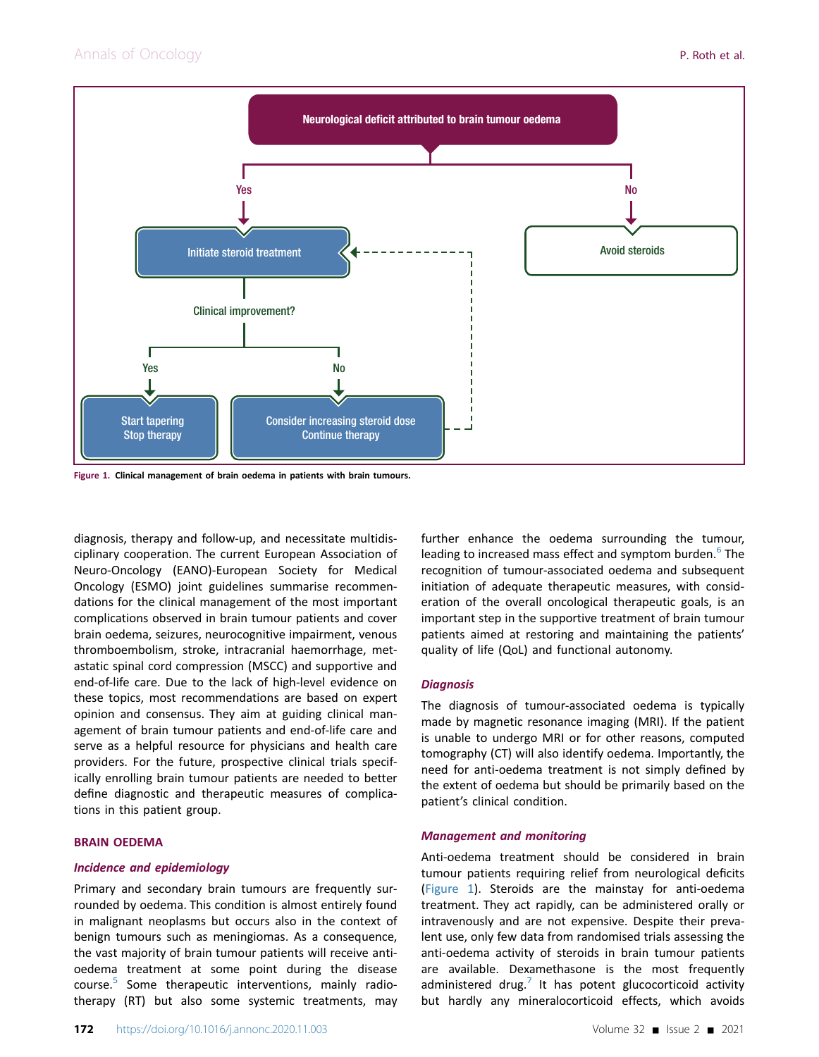<span id="page-1-0"></span>

Figure 1. Clinical management of brain oedema in patients with brain tumours.

diagnosis, therapy and follow-up, and necessitate multidisciplinary cooperation. The current European Association of Neuro-Oncology (EANO)-European Society for Medical Oncology (ESMO) joint guidelines summarise recommendations for the clinical management of the most important complications observed in brain tumour patients and cover brain oedema, seizures, neurocognitive impairment, venous thromboembolism, stroke, intracranial haemorrhage, metastatic spinal cord compression (MSCC) and supportive and end-of-life care. Due to the lack of high-level evidence on these topics, most recommendations are based on expert opinion and consensus. They aim at guiding clinical management of brain tumour patients and end-of-life care and serve as a helpful resource for physicians and health care providers. For the future, prospective clinical trials specifically enrolling brain tumour patients are needed to better define diagnostic and therapeutic measures of complications in this patient group.

#### BRAIN OEDEMA

## Incidence and epidemiology

Primary and secondary brain tumours are frequently surrounded by oedema. This condition is almost entirely found in malignant neoplasms but occurs also in the context of benign tumours such as meningiomas. As a consequence, the vast majority of brain tumour patients will receive antioedema treatment at some point during the disease course.[5](#page-9-1) Some therapeutic interventions, mainly radiotherapy (RT) but also some systemic treatments, may

further enhance the oedema surrounding the tumour, leading to increased mass effect and symptom burden.<sup>[6](#page-9-2)</sup> The recognition of tumour-associated oedema and subsequent initiation of adequate therapeutic measures, with consideration of the overall oncological therapeutic goals, is an important step in the supportive treatment of brain tumour patients aimed at restoring and maintaining the patients' quality of life (QoL) and functional autonomy.

#### **Diagnosis**

The diagnosis of tumour-associated oedema is typically made by magnetic resonance imaging (MRI). If the patient is unable to undergo MRI or for other reasons, computed tomography (CT) will also identify oedema. Importantly, the need for anti-oedema treatment is not simply defined by the extent of oedema but should be primarily based on the patient's clinical condition.

## Management and monitoring

Anti-oedema treatment should be considered in brain tumour patients requiring relief from neurological deficits [\(Figure 1\)](#page-1-0). Steroids are the mainstay for anti-oedema treatment. They act rapidly, can be administered orally or intravenously and are not expensive. Despite their prevalent use, only few data from randomised trials assessing the anti-oedema activity of steroids in brain tumour patients are available. Dexamethasone is the most frequently administered drug.<sup>[7](#page-9-3)</sup> It has potent glucocorticoid activity but hardly any mineralocorticoid effects, which avoids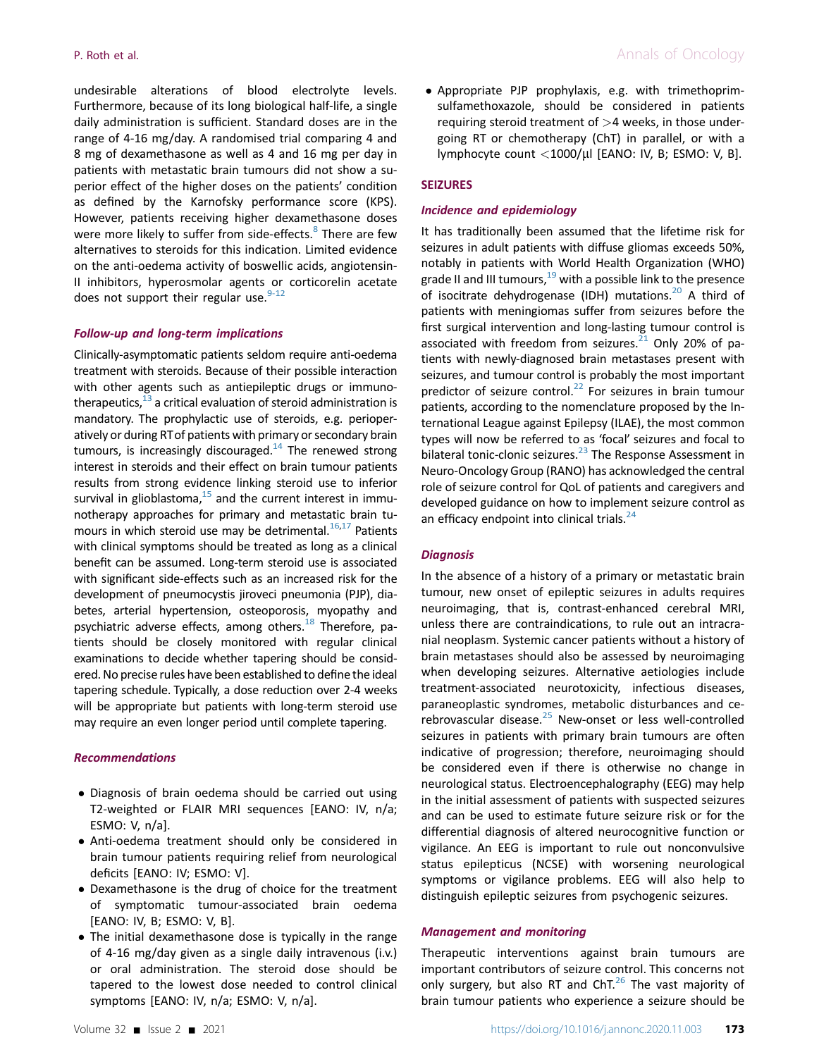undesirable alterations of blood electrolyte levels. Furthermore, because of its long biological half-life, a single daily administration is sufficient. Standard doses are in the range of 4-16 mg/day. A randomised trial comparing 4 and 8 mg of dexamethasone as well as 4 and 16 mg per day in patients with metastatic brain tumours did not show a superior effect of the higher doses on the patients' condition as defined by the Karnofsky performance score (KPS). However, patients receiving higher dexamethasone doses were more likely to suffer from side-effects.<sup>[8](#page-9-4)</sup> There are few alternatives to steroids for this indication. Limited evidence on the anti-oedema activity of boswellic acids, angiotensin-II inhibitors, hyperosmolar agents or corticorelin acetate does not support their regular use. $9-12$ 

#### Follow-up and long-term implications

Clinically-asymptomatic patients seldom require anti-oedema treatment with steroids. Because of their possible interaction with other agents such as antiepileptic drugs or immunotherapeutics, $13$  a critical evaluation of steroid administration is mandatory. The prophylactic use of steroids, e.g. perioperatively or during RTof patients with primary or secondary brain tumours, is increasingly discouraged.<sup>14</sup> The renewed strong interest in steroids and their effect on brain tumour patients results from strong evidence linking steroid use to inferior survival in glioblastoma, $15$  and the current interest in immunotherapy approaches for primary and metastatic brain tumours in which steroid use may be detrimental. $16,17$  $16,17$  Patients with clinical symptoms should be treated as long as a clinical benefit can be assumed. Long-term steroid use is associated with significant side-effects such as an increased risk for the development of pneumocystis jiroveci pneumonia (PJP), diabetes, arterial hypertension, osteoporosis, myopathy and psychiatric adverse effects, among others. $^{18}$  Therefore, patients should be closely monitored with regular clinical examinations to decide whether tapering should be considered. No precise rules have been established to define the ideal tapering schedule. Typically, a dose reduction over 2-4 weeks will be appropriate but patients with long-term steroid use may require an even longer period until complete tapering.

#### Recommendations

- Diagnosis of brain oedema should be carried out using T2-weighted or FLAIR MRI sequences [EANO: IV, n/a; ESMO: V, n/a].
- Anti-oedema treatment should only be considered in brain tumour patients requiring relief from neurological deficits [EANO: IV; ESMO: V].
- Dexamethasone is the drug of choice for the treatment of symptomatic tumour-associated brain oedema [EANO: IV, B; ESMO: V, B].
- The initial dexamethasone dose is typically in the range of 4-16 mg/day given as a single daily intravenous (i.v.) or oral administration. The steroid dose should be tapered to the lowest dose needed to control clinical symptoms [EANO: IV, n/a; ESMO: V, n/a].

- Appropriate PJP prophylaxis, e.g. with trimethoprimsulfamethoxazole, should be considered in patients requiring steroid treatment of  $>4$  weeks, in those undergoing RT or chemotherapy (ChT) in parallel, or with a lymphocyte count  $\langle 1000/\mu$ l [EANO: IV, B; ESMO: V, B].

#### SEIZURES

#### Incidence and epidemiology

It has traditionally been assumed that the lifetime risk for seizures in adult patients with diffuse gliomas exceeds 50%, notably in patients with World Health Organization (WHO) grade II and III tumours,  $19$  with a possible link to the presence of isocitrate dehydrogenase (IDH) mutations.<sup>[20](#page-9-13)</sup> A third of patients with meningiomas suffer from seizures before the first surgical intervention and long-lasting tumour control is associated with freedom from seizures.<sup>[21](#page-9-14)</sup> Only 20% of patients with newly-diagnosed brain metastases present with seizures, and tumour control is probably the most important predictor of seizure control. $^{22}$  For seizures in brain tumour patients, according to the nomenclature proposed by the International League against Epilepsy (ILAE), the most common types will now be referred to as 'focal' seizures and focal to bilateral tonic-clonic seizures.<sup>[23](#page-9-16)</sup> The Response Assessment in Neuro-Oncology Group (RANO) has acknowledged the central role of seizure control for QoL of patients and caregivers and developed guidance on how to implement seizure control as an efficacy endpoint into clinical trials. $^{24}$ 

#### **Diagnosis**

In the absence of a history of a primary or metastatic brain tumour, new onset of epileptic seizures in adults requires neuroimaging, that is, contrast-enhanced cerebral MRI, unless there are contraindications, to rule out an intracranial neoplasm. Systemic cancer patients without a history of brain metastases should also be assessed by neuroimaging when developing seizures. Alternative aetiologies include treatment-associated neurotoxicity, infectious diseases, paraneoplastic syndromes, metabolic disturbances and ce-rebrovascular disease.<sup>[25](#page-9-18)</sup> New-onset or less well-controlled seizures in patients with primary brain tumours are often indicative of progression; therefore, neuroimaging should be considered even if there is otherwise no change in neurological status. Electroencephalography (EEG) may help in the initial assessment of patients with suspected seizures and can be used to estimate future seizure risk or for the differential diagnosis of altered neurocognitive function or vigilance. An EEG is important to rule out nonconvulsive status epilepticus (NCSE) with worsening neurological symptoms or vigilance problems. EEG will also help to distinguish epileptic seizures from psychogenic seizures.

#### Management and monitoring

Therapeutic interventions against brain tumours are important contributors of seizure control. This concerns not only surgery, but also RT and ChT. $^{26}$  $^{26}$  $^{26}$  The vast majority of brain tumour patients who experience a seizure should be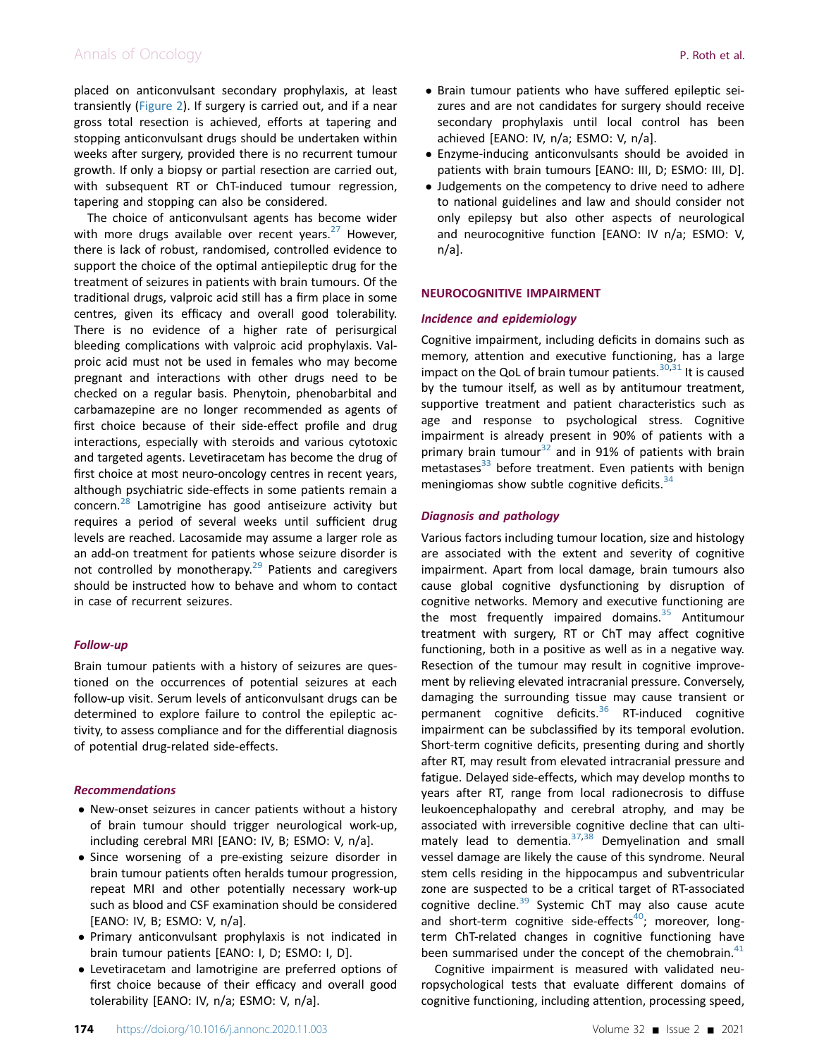# Annals of Oncology **P. Roth et al.**  $\blacksquare$

placed on anticonvulsant secondary prophylaxis, at least transiently [\(Figure 2\)](#page-4-0). If surgery is carried out, and if a near gross total resection is achieved, efforts at tapering and stopping anticonvulsant drugs should be undertaken within weeks after surgery, provided there is no recurrent tumour growth. If only a biopsy or partial resection are carried out, with subsequent RT or ChT-induced tumour regression, tapering and stopping can also be considered.

The choice of anticonvulsant agents has become wider with more drugs available over recent years. $27$  However, there is lack of robust, randomised, controlled evidence to support the choice of the optimal antiepileptic drug for the treatment of seizures in patients with brain tumours. Of the traditional drugs, valproic acid still has a firm place in some centres, given its efficacy and overall good tolerability. There is no evidence of a higher rate of perisurgical bleeding complications with valproic acid prophylaxis. Valproic acid must not be used in females who may become pregnant and interactions with other drugs need to be checked on a regular basis. Phenytoin, phenobarbital and carbamazepine are no longer recommended as agents of first choice because of their side-effect profile and drug interactions, especially with steroids and various cytotoxic and targeted agents. Levetiracetam has become the drug of first choice at most neuro-oncology centres in recent years, although psychiatric side-effects in some patients remain a concern.[28](#page-9-21) Lamotrigine has good antiseizure activity but requires a period of several weeks until sufficient drug levels are reached. Lacosamide may assume a larger role as an add-on treatment for patients whose seizure disorder is not controlled by monotherapy. $29$  Patients and caregivers should be instructed how to behave and whom to contact in case of recurrent seizures.

#### Follow-up

Brain tumour patients with a history of seizures are questioned on the occurrences of potential seizures at each follow-up visit. Serum levels of anticonvulsant drugs can be determined to explore failure to control the epileptic activity, to assess compliance and for the differential diagnosis of potential drug-related side-effects.

#### Recommendations

- New-onset seizures in cancer patients without a history of brain tumour should trigger neurological work-up, including cerebral MRI [EANO: IV, B; ESMO: V, n/a].
- Since worsening of a pre-existing seizure disorder in brain tumour patients often heralds tumour progression, repeat MRI and other potentially necessary work-up such as blood and CSF examination should be considered [EANO: IV, B; ESMO: V, n/a].
- Primary anticonvulsant prophylaxis is not indicated in brain tumour patients [EANO: I, D; ESMO: I, D].
- Levetiracetam and lamotrigine are preferred options of first choice because of their efficacy and overall good tolerability [EANO: IV, n/a; ESMO: V, n/a].
- Brain tumour patients who have suffered epileptic seizures and are not candidates for surgery should receive secondary prophylaxis until local control has been achieved [EANO: IV, n/a; ESMO: V, n/a].
- Enzyme-inducing anticonvulsants should be avoided in patients with brain tumours [EANO: III, D; ESMO: III, D].
- Judgements on the competency to drive need to adhere to national guidelines and law and should consider not only epilepsy but also other aspects of neurological and neurocognitive function [EANO: IV n/a; ESMO: V, n/a].

#### NEUROCOGNITIVE IMPAIRMENT

#### Incidence and epidemiology

Cognitive impairment, including deficits in domains such as memory, attention and executive functioning, has a large impact on the QoL of brain tumour patients. $30,31$  $30,31$  It is caused by the tumour itself, as well as by antitumour treatment, supportive treatment and patient characteristics such as age and response to psychological stress. Cognitive impairment is already present in 90% of patients with a primary brain tumour<sup>[32](#page-9-25)</sup> and in 91% of patients with brain metastases $33$  before treatment. Even patients with benign meningiomas show subtle cognitive deficits.<sup>[34](#page-9-27)</sup>

#### Diagnosis and pathology

Various factors including tumour location, size and histology are associated with the extent and severity of cognitive impairment. Apart from local damage, brain tumours also cause global cognitive dysfunctioning by disruption of cognitive networks. Memory and executive functioning are the most frequently impaired domains. $35$  Antitumour treatment with surgery, RT or ChT may affect cognitive functioning, both in a positive as well as in a negative way. Resection of the tumour may result in cognitive improvement by relieving elevated intracranial pressure. Conversely, damaging the surrounding tissue may cause transient or permanent cognitive deficits. $36$  RT-induced cognitive impairment can be subclassified by its temporal evolution. Short-term cognitive deficits, presenting during and shortly after RT, may result from elevated intracranial pressure and fatigue. Delayed side-effects, which may develop months to years after RT, range from local radionecrosis to diffuse leukoencephalopathy and cerebral atrophy, and may be associated with irreversible cognitive decline that can ultimately lead to dementia. $37,38$  $37,38$  Demyelination and small vessel damage are likely the cause of this syndrome. Neural stem cells residing in the hippocampus and subventricular zone are suspected to be a critical target of RT-associated cognitive decline.<sup>[39](#page-9-32)</sup> Systemic ChT may also cause acute and short-term cognitive side-effects $40$ ; moreover, longterm ChT-related changes in cognitive functioning have been summarised under the concept of the chemobrain. $41$ 

Cognitive impairment is measured with validated neuropsychological tests that evaluate different domains of cognitive functioning, including attention, processing speed,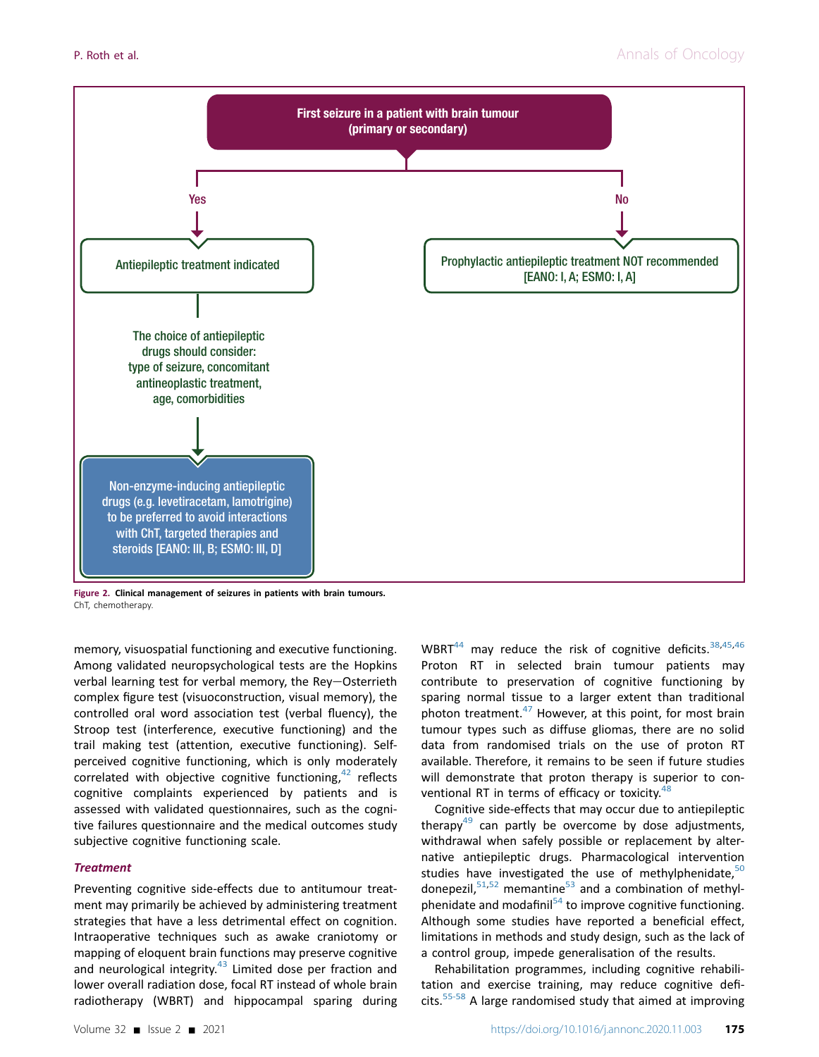<span id="page-4-0"></span>

Figure 2. Clinical management of seizures in patients with brain tumours. ChT, chemotherapy.

memory, visuospatial functioning and executive functioning. Among validated neuropsychological tests are the Hopkins verbal learning test for verbal memory, the Rey-Osterrieth complex figure test (visuoconstruction, visual memory), the controlled oral word association test (verbal fluency), the Stroop test (interference, executive functioning) and the trail making test (attention, executive functioning). Selfperceived cognitive functioning, which is only moderately correlated with objective cognitive functioning, $42$  reflects cognitive complaints experienced by patients and is assessed with validated questionnaires, such as the cognitive failures questionnaire and the medical outcomes study subjective cognitive functioning scale.

#### **Treatment**

Preventing cognitive side-effects due to antitumour treatment may primarily be achieved by administering treatment strategies that have a less detrimental effect on cognition. Intraoperative techniques such as awake craniotomy or mapping of eloquent brain functions may preserve cognitive and neurological integrity.<sup>[43](#page-9-36)</sup> Limited dose per fraction and lower overall radiation dose, focal RT instead of whole brain radiotherapy (WBRT) and hippocampal sparing during

WBRT $^{44}$  $^{44}$  $^{44}$  may reduce the risk of cognitive deficits.  $38,45,46$  $38,45,46$  $38,45,46$ Proton RT in selected brain tumour patients may contribute to preservation of cognitive functioning by sparing normal tissue to a larger extent than traditional photon treatment. $47$  However, at this point, for most brain tumour types such as diffuse gliomas, there are no solid data from randomised trials on the use of proton RT available. Therefore, it remains to be seen if future studies will demonstrate that proton therapy is superior to con-ventional RT in terms of efficacy or toxicity.<sup>[48](#page-9-41)</sup>

Cognitive side-effects that may occur due to antiepileptic therapy $49$  can partly be overcome by dose adjustments, withdrawal when safely possible or replacement by alternative antiepileptic drugs. Pharmacological intervention studies have investigated the use of methylphenidate, $50$ donepezil, $51,52$  $51,52$  memantine $53$  and a combination of methylphenidate and modafinil $54$  to improve cognitive functioning. Although some studies have reported a beneficial effect, limitations in methods and study design, such as the lack of a control group, impede generalisation of the results.

Rehabilitation programmes, including cognitive rehabilitation and exercise training, may reduce cognitive deficits.[55-58](#page-10-5) A large randomised study that aimed at improving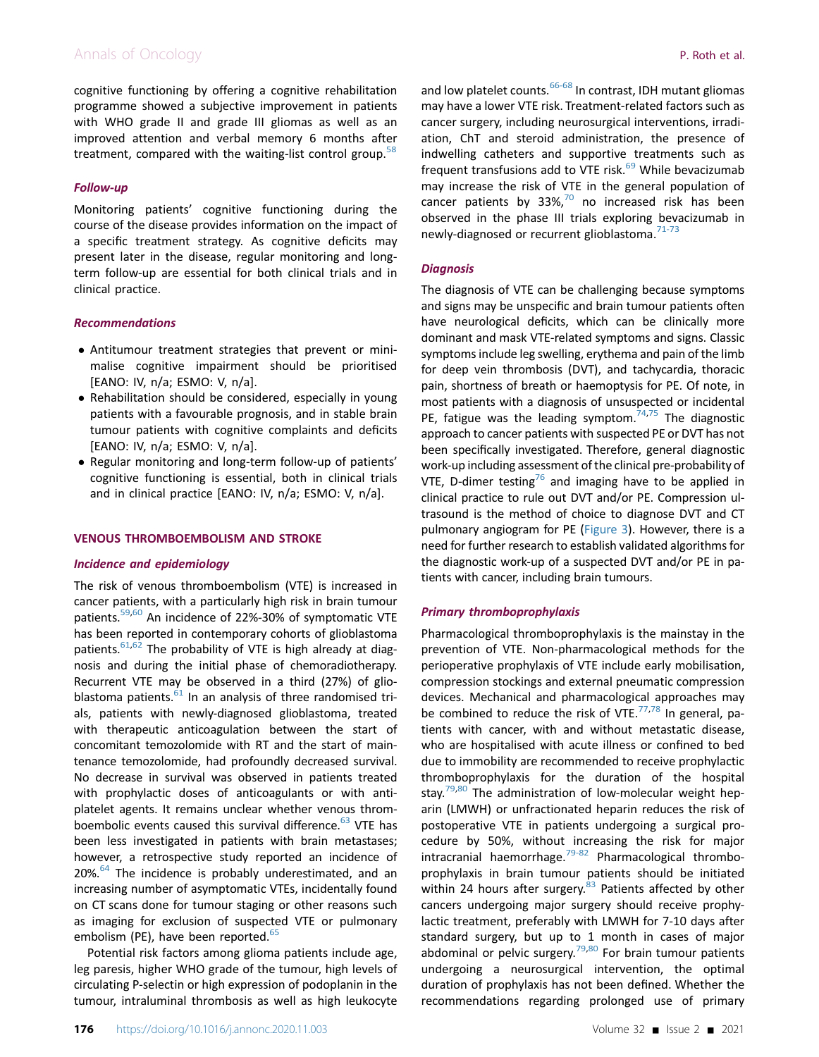# Annals of Oncology **P. Roth et al.**  $\blacksquare$

cognitive functioning by offering a cognitive rehabilitation programme showed a subjective improvement in patients with WHO grade II and grade III gliomas as well as an improved attention and verbal memory 6 months after treatment, compared with the waiting-list control group.<sup>[58](#page-10-6)</sup>

# Follow-up

Monitoring patients' cognitive functioning during the course of the disease provides information on the impact of a specific treatment strategy. As cognitive deficits may present later in the disease, regular monitoring and longterm follow-up are essential for both clinical trials and in clinical practice.

## Recommendations

- Antitumour treatment strategies that prevent or minimalise cognitive impairment should be prioritised [EANO: IV, n/a; ESMO: V, n/a].
- Rehabilitation should be considered, especially in young patients with a favourable prognosis, and in stable brain tumour patients with cognitive complaints and deficits [EANO: IV, n/a; ESMO: V, n/a].
- Regular monitoring and long-term follow-up of patients' cognitive functioning is essential, both in clinical trials and in clinical practice [EANO: IV, n/a; ESMO: V, n/a].

#### VENOUS THROMBOEMBOLISM AND STROKE

#### Incidence and epidemiology

The risk of venous thromboembolism (VTE) is increased in cancer patients, with a particularly high risk in brain tumour patients.<sup>59[,60](#page-10-8)</sup> An incidence of 22%-30% of symptomatic VTE has been reported in contemporary cohorts of glioblastoma patients. $61,62$  $61,62$  The probability of VTE is high already at diagnosis and during the initial phase of chemoradiotherapy. Recurrent VTE may be observed in a third (27%) of glioblastoma patients. $61$  In an analysis of three randomised trials, patients with newly-diagnosed glioblastoma, treated with therapeutic anticoagulation between the start of concomitant temozolomide with RT and the start of maintenance temozolomide, had profoundly decreased survival. No decrease in survival was observed in patients treated with prophylactic doses of anticoagulants or with antiplatelet agents. It remains unclear whether venous thromboembolic events caused this survival difference. $63$  VTE has been less investigated in patients with brain metastases; however, a retrospective study reported an incidence of 20%.<sup>[64](#page-10-12)</sup> The incidence is probably underestimated, and an increasing number of asymptomatic VTEs, incidentally found on CT scans done for tumour staging or other reasons such as imaging for exclusion of suspected VTE or pulmonary embolism (PE), have been reported. $65$ 

Potential risk factors among glioma patients include age, leg paresis, higher WHO grade of the tumour, high levels of circulating P-selectin or high expression of podoplanin in the tumour, intraluminal thrombosis as well as high leukocyte

and low platelet counts.<sup>[66-68](#page-10-14)</sup> In contrast, IDH mutant gliomas may have a lower VTE risk. Treatment-related factors such as cancer surgery, including neurosurgical interventions, irradiation, ChT and steroid administration, the presence of indwelling catheters and supportive treatments such as frequent transfusions add to VTE risk. $^{69}$  $^{69}$  $^{69}$  While bevacizumab may increase the risk of VTE in the general population of cancer patients by  $33\%$ ,<sup>[70](#page-10-16)</sup> no increased risk has been observed in the phase III trials exploring bevacizumab in newly-diagnosed or recurrent glioblastoma.<sup>[71-73](#page-10-17)</sup>

## **Diagnosis**

The diagnosis of VTE can be challenging because symptoms and signs may be unspecific and brain tumour patients often have neurological deficits, which can be clinically more dominant and mask VTE-related symptoms and signs. Classic symptoms include leg swelling, erythema and pain of the limb for deep vein thrombosis (DVT), and tachycardia, thoracic pain, shortness of breath or haemoptysis for PE. Of note, in most patients with a diagnosis of unsuspected or incidental PE, fatigue was the leading symptom.<sup>74[,75](#page-10-19)</sup> The diagnostic approach to cancer patients with suspected PE or DVT has not been specifically investigated. Therefore, general diagnostic work-up including assessment of the clinical pre-probability of VTE, D-dimer testing<sup>76</sup> and imaging have to be applied in clinical practice to rule out DVT and/or PE. Compression ultrasound is the method of choice to diagnose DVT and CT pulmonary angiogram for PE [\(Figure 3\)](#page-6-0). However, there is a need for further research to establish validated algorithms for the diagnostic work-up of a suspected DVT and/or PE in patients with cancer, including brain tumours.

# Primary thromboprophylaxis

Pharmacological thromboprophylaxis is the mainstay in the prevention of VTE. Non-pharmacological methods for the perioperative prophylaxis of VTE include early mobilisation, compression stockings and external pneumatic compression devices. Mechanical and pharmacological approaches may be combined to reduce the risk of VTE. $77,78$  $77,78$  In general, patients with cancer, with and without metastatic disease, who are hospitalised with acute illness or confined to bed due to immobility are recommended to receive prophylactic thromboprophylaxis for the duration of the hospital stay.<sup>[79](#page-10-23)[,80](#page-10-24)</sup> The administration of low-molecular weight heparin (LMWH) or unfractionated heparin reduces the risk of postoperative VTE in patients undergoing a surgical procedure by 50%, without increasing the risk for major intracranial haemorrhage. $79-82$  Pharmacological thromboprophylaxis in brain tumour patients should be initiated within 24 hours after surgery.<sup>[83](#page-10-25)</sup> Patients affected by other cancers undergoing major surgery should receive prophylactic treatment, preferably with LMWH for 7-10 days after standard surgery, but up to 1 month in cases of major abdominal or pelvic surgery.<sup>[79](#page-10-23)[,80](#page-10-24)</sup> For brain tumour patients undergoing a neurosurgical intervention, the optimal duration of prophylaxis has not been defined. Whether the recommendations regarding prolonged use of primary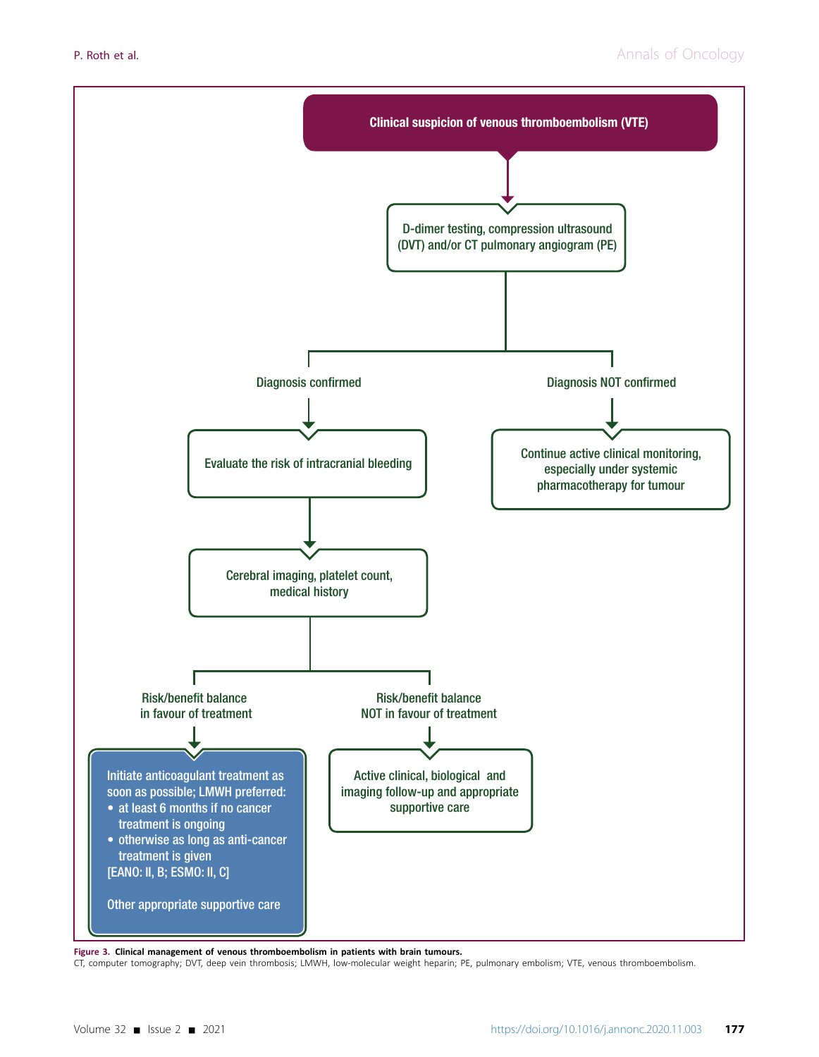<span id="page-6-0"></span>

Figure 3. Clinical management of venous thromboembolism in patients with brain tumours.

CT, computer tomography; DVT, deep vein thrombosis; LMWH, low-molecular weight heparin; PE, pulmonary embolism; VTE, venous thromboembolism.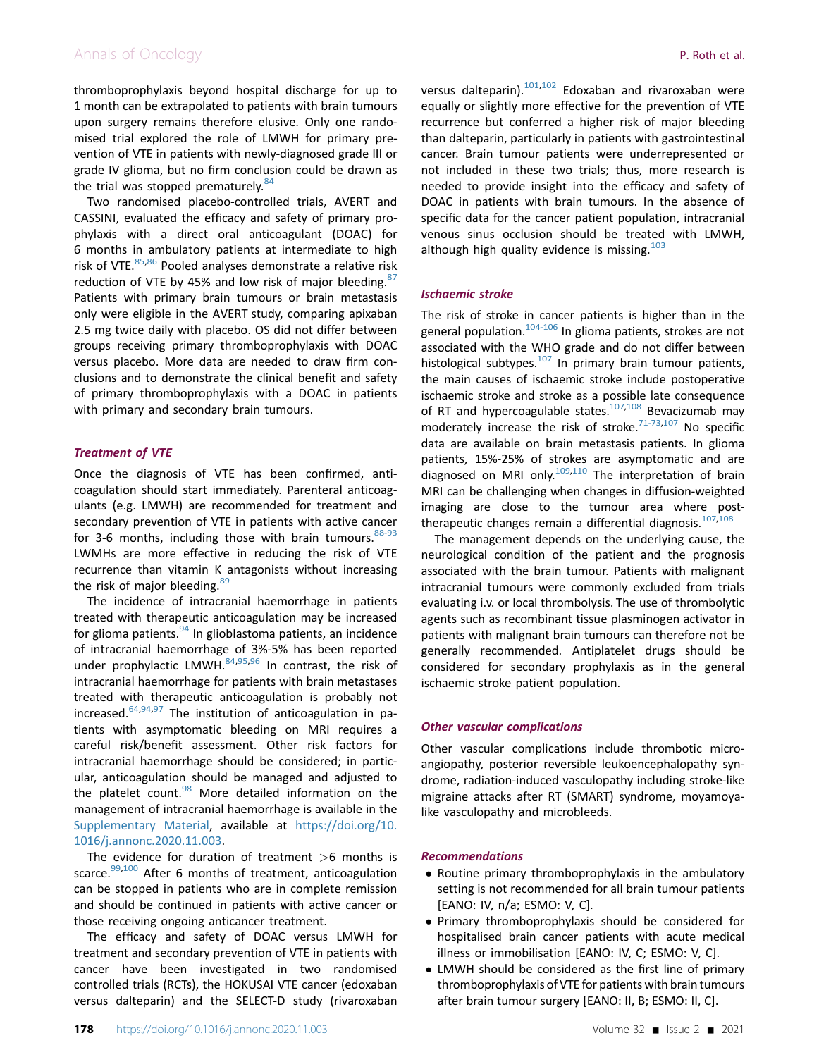# Annals of Oncology **P. Roth et al.**  $\blacksquare$

thromboprophylaxis beyond hospital discharge for up to 1 month can be extrapolated to patients with brain tumours upon surgery remains therefore elusive. Only one randomised trial explored the role of LMWH for primary prevention of VTE in patients with newly-diagnosed grade III or grade IV glioma, but no firm conclusion could be drawn as the trial was stopped prematurely. $84$ 

Two randomised placebo-controlled trials, AVERT and CASSINI, evaluated the efficacy and safety of primary prophylaxis with a direct oral anticoagulant (DOAC) for 6 months in ambulatory patients at intermediate to high risk of VTE. $85,86$  $85,86$  Pooled analyses demonstrate a relative risk reduction of VTE by 45% and low risk of major bleeding. $87$ Patients with primary brain tumours or brain metastasis only were eligible in the AVERT study, comparing apixaban 2.5 mg twice daily with placebo. OS did not differ between groups receiving primary thromboprophylaxis with DOAC versus placebo. More data are needed to draw firm conclusions and to demonstrate the clinical benefit and safety of primary thromboprophylaxis with a DOAC in patients with primary and secondary brain tumours.

# Treatment of VTE

Once the diagnosis of VTE has been confirmed, anticoagulation should start immediately. Parenteral anticoagulants (e.g. LMWH) are recommended for treatment and secondary prevention of VTE in patients with active cancer for 3-6 months, including those with brain tumours.  $88-93$ LWMHs are more effective in reducing the risk of VTE recurrence than vitamin K antagonists without increasing the risk of major bleeding. $89$ 

The incidence of intracranial haemorrhage in patients treated with therapeutic anticoagulation may be increased for glioma patients. $94$  In glioblastoma patients, an incidence of intracranial haemorrhage of 3%-5% has been reported under prophylactic LMWH. $84,95,96$  $84,95,96$  $84,95,96$  In contrast, the risk of intracranial haemorrhage for patients with brain metastases treated with therapeutic anticoagulation is probably not increased. $64,94,97$  $64,94,97$  $64,94,97$  The institution of anticoagulation in patients with asymptomatic bleeding on MRI requires a careful risk/benefit assessment. Other risk factors for intracranial haemorrhage should be considered; in particular, anticoagulation should be managed and adjusted to the platelet count. $98$  More detailed information on the management of intracranial haemorrhage is available in the Supplementary Material, available at [https://doi.org/10.](https://doi.org/10.1016/j.annonc.2020.11.003) [1016/j.annonc.2020.11.003.](https://doi.org/10.1016/j.annonc.2020.11.003)

The evidence for duration of treatment  $>6$  months is scarce.<sup>[99](#page-11-4)[,100](#page-11-5)</sup> After 6 months of treatment, anticoagulation can be stopped in patients who are in complete remission and should be continued in patients with active cancer or those receiving ongoing anticancer treatment.

The efficacy and safety of DOAC versus LMWH for treatment and secondary prevention of VTE in patients with cancer have been investigated in two randomised controlled trials (RCTs), the HOKUSAI VTE cancer (edoxaban versus dalteparin) and the SELECT-D study (rivaroxaban versus dalteparin).<sup>[101](#page-11-6)[,102](#page-11-7)</sup> Edoxaban and rivaroxaban were equally or slightly more effective for the prevention of VTE recurrence but conferred a higher risk of major bleeding than dalteparin, particularly in patients with gastrointestinal cancer. Brain tumour patients were underrepresented or not included in these two trials; thus, more research is needed to provide insight into the efficacy and safety of DOAC in patients with brain tumours. In the absence of specific data for the cancer patient population, intracranial venous sinus occlusion should be treated with LMWH, although high quality evidence is missing.  $103$ 

#### Ischaemic stroke

The risk of stroke in cancer patients is higher than in the general population.<sup>104-106</sup> In glioma patients, strokes are not associated with the WHO grade and do not differ between histological subtypes. $107$  In primary brain tumour patients, the main causes of ischaemic stroke include postoperative ischaemic stroke and stroke as a possible late consequence of RT and hypercoagulable states. $107,108$  $107,108$  Bevacizumab may moderately increase the risk of stroke.<sup>71-73[,107](#page-11-10)</sup> No specific data are available on brain metastasis patients. In glioma patients, 15%-25% of strokes are asymptomatic and are diagnosed on MRI only.<sup>109[,110](#page-11-13)</sup> The interpretation of brain MRI can be challenging when changes in diffusion-weighted imaging are close to the tumour area where posttherapeutic changes remain a differential diagnosis. $107,108$  $107,108$ 

The management depends on the underlying cause, the neurological condition of the patient and the prognosis associated with the brain tumour. Patients with malignant intracranial tumours were commonly excluded from trials evaluating i.v. or local thrombolysis. The use of thrombolytic agents such as recombinant tissue plasminogen activator in patients with malignant brain tumours can therefore not be generally recommended. Antiplatelet drugs should be considered for secondary prophylaxis as in the general ischaemic stroke patient population.

#### Other vascular complications

Other vascular complications include thrombotic microangiopathy, posterior reversible leukoencephalopathy syndrome, radiation-induced vasculopathy including stroke-like migraine attacks after RT (SMART) syndrome, moyamoyalike vasculopathy and microbleeds.

#### Recommendations

- Routine primary thromboprophylaxis in the ambulatory setting is not recommended for all brain tumour patients [EANO: IV, n/a; ESMO: V, C].
- Primary thromboprophylaxis should be considered for hospitalised brain cancer patients with acute medical illness or immobilisation [EANO: IV, C; ESMO: V, C].
- LMWH should be considered as the first line of primary thromboprophylaxis of VTE for patients with brain tumours after brain tumour surgery [EANO: II, B; ESMO: II, C].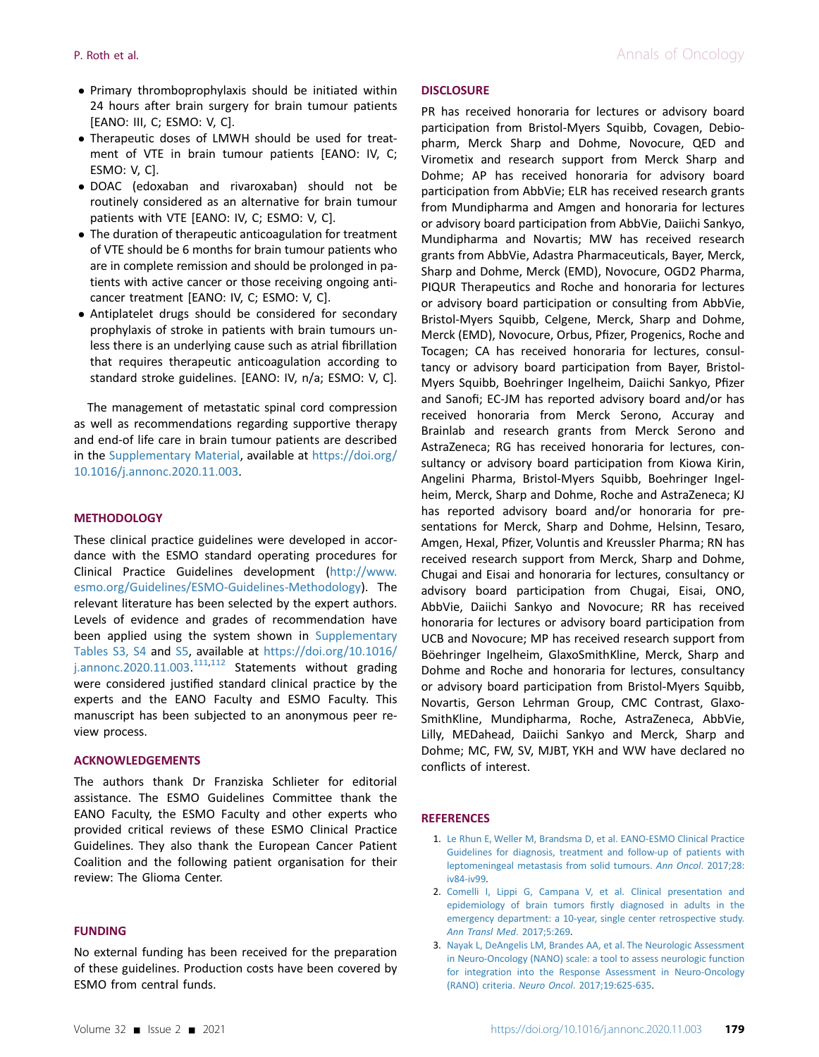- Primary thromboprophylaxis should be initiated within 24 hours after brain surgery for brain tumour patients [EANO: III, C; ESMO: V, C].
- Therapeutic doses of LMWH should be used for treatment of VTE in brain tumour patients [EANO: IV, C; ESMO: V, C].
- DOAC (edoxaban and rivaroxaban) should not be routinely considered as an alternative for brain tumour patients with VTE [EANO: IV, C; ESMO: V, C].
- The duration of therapeutic anticoagulation for treatment of VTE should be 6 months for brain tumour patients who are in complete remission and should be prolonged in patients with active cancer or those receiving ongoing anticancer treatment [EANO: IV, C; ESMO: V, C].
- Antiplatelet drugs should be considered for secondary prophylaxis of stroke in patients with brain tumours unless there is an underlying cause such as atrial fibrillation that requires therapeutic anticoagulation according to standard stroke guidelines. [EANO: IV, n/a; ESMO: V, C].

The management of metastatic spinal cord compression as well as recommendations regarding supportive therapy and end-of life care in brain tumour patients are described in the Supplementary Material, available at [https://doi.org/](https://doi.org/10.1016/j.annonc.2020.11.003) [10.1016/j.annonc.2020.11.003](https://doi.org/10.1016/j.annonc.2020.11.003).

## **METHODOLOGY**

These clinical practice guidelines were developed in accordance with the ESMO standard operating procedures for Clinical Practice Guidelines development ([http://www.](http://www.esmo.org/Guidelines/ESMO-Guidelines-Methodology) [esmo.org/Guidelines/ESMO-Guidelines-Methodology](http://www.esmo.org/Guidelines/ESMO-Guidelines-Methodology)). The relevant literature has been selected by the expert authors. Levels of evidence and grades of recommendation have been applied using the system shown in Supplementary Tables S3, S4 and S5, available at [https://doi.org/10.1016/](https://doi.org/10.1016/j.annonc.2020.11.003) [j.annonc.2020.11.003](https://doi.org/10.1016/j.annonc.2020.11.003).<sup>[111,](#page-11-14)[112](#page-11-15)</sup> Statements without grading were considered justified standard clinical practice by the experts and the EANO Faculty and ESMO Faculty. This manuscript has been subjected to an anonymous peer review process.

#### ACKNOWLEDGEMENTS

The authors thank Dr Franziska Schlieter for editorial assistance. The ESMO Guidelines Committee thank the EANO Faculty, the ESMO Faculty and other experts who provided critical reviews of these ESMO Clinical Practice Guidelines. They also thank the European Cancer Patient Coalition and the following patient organisation for their review: The Glioma Center.

#### FUNDING

No external funding has been received for the preparation of these guidelines. Production costs have been covered by ESMO from central funds.

PR has received honoraria for lectures or advisory board participation from Bristol-Myers Squibb, Covagen, Debiopharm, Merck Sharp and Dohme, Novocure, QED and Virometix and research support from Merck Sharp and Dohme; AP has received honoraria for advisory board participation from AbbVie; ELR has received research grants from Mundipharma and Amgen and honoraria for lectures or advisory board participation from AbbVie, Daiichi Sankyo, Mundipharma and Novartis; MW has received research grants from AbbVie, Adastra Pharmaceuticals, Bayer, Merck, Sharp and Dohme, Merck (EMD), Novocure, OGD2 Pharma, PIQUR Therapeutics and Roche and honoraria for lectures or advisory board participation or consulting from AbbVie, Bristol-Myers Squibb, Celgene, Merck, Sharp and Dohme, Merck (EMD), Novocure, Orbus, Pfizer, Progenics, Roche and Tocagen; CA has received honoraria for lectures, consultancy or advisory board participation from Bayer, Bristol-Myers Squibb, Boehringer Ingelheim, Daiichi Sankyo, Pfizer and Sanofi; EC-JM has reported advisory board and/or has received honoraria from Merck Serono, Accuray and Brainlab and research grants from Merck Serono and AstraZeneca; RG has received honoraria for lectures, consultancy or advisory board participation from Kiowa Kirin, Angelini Pharma, Bristol-Myers Squibb, Boehringer Ingelheim, Merck, Sharp and Dohme, Roche and AstraZeneca; KJ has reported advisory board and/or honoraria for presentations for Merck, Sharp and Dohme, Helsinn, Tesaro, Amgen, Hexal, Pfizer, Voluntis and Kreussler Pharma; RN has received research support from Merck, Sharp and Dohme, Chugai and Eisai and honoraria for lectures, consultancy or advisory board participation from Chugai, Eisai, ONO, AbbVie, Daiichi Sankyo and Novocure; RR has received honoraria for lectures or advisory board participation from UCB and Novocure; MP has received research support from Böehringer Ingelheim, GlaxoSmithKline, Merck, Sharp and Dohme and Roche and honoraria for lectures, consultancy or advisory board participation from Bristol-Myers Squibb, Novartis, Gerson Lehrman Group, CMC Contrast, Glaxo-SmithKline, Mundipharma, Roche, AstraZeneca, AbbVie, Lilly, MEDahead, Daiichi Sankyo and Merck, Sharp and Dohme; MC, FW, SV, MJBT, YKH and WW have declared no conflicts of interest.

## <span id="page-8-0"></span>**REFERENCES**

- 1. [Le Rhun E, Weller M, Brandsma D, et al. EANO-ESMO Clinical Practice](http://refhub.elsevier.com/S0923-7534(20)43146-1/sref1) [Guidelines for diagnosis, treatment and follow-up of patients with](http://refhub.elsevier.com/S0923-7534(20)43146-1/sref1) [leptomeningeal metastasis from solid tumours.](http://refhub.elsevier.com/S0923-7534(20)43146-1/sref1) Ann Oncol. 2017;28: [iv84-iv99](http://refhub.elsevier.com/S0923-7534(20)43146-1/sref1).
- <span id="page-8-1"></span>2. [Comelli I, Lippi G, Campana V, et al. Clinical presentation and](http://refhub.elsevier.com/S0923-7534(20)43146-1/sref2) epidemiology of brain tumors fi[rstly diagnosed in adults in the](http://refhub.elsevier.com/S0923-7534(20)43146-1/sref2) [emergency department: a 10-year, single center retrospective study.](http://refhub.elsevier.com/S0923-7534(20)43146-1/sref2) [Ann Transl Med](http://refhub.elsevier.com/S0923-7534(20)43146-1/sref2). 2017;5:269.
- <span id="page-8-2"></span>3. [Nayak L, DeAngelis LM, Brandes AA, et al. The Neurologic Assessment](http://refhub.elsevier.com/S0923-7534(20)43146-1/sref3) [in Neuro-Oncology \(NANO\) scale: a tool to assess neurologic function](http://refhub.elsevier.com/S0923-7534(20)43146-1/sref3) [for integration into the Response Assessment in Neuro-Oncology](http://refhub.elsevier.com/S0923-7534(20)43146-1/sref3) (RANO) criteria. Neuro Oncol[. 2017;19:625-635](http://refhub.elsevier.com/S0923-7534(20)43146-1/sref3).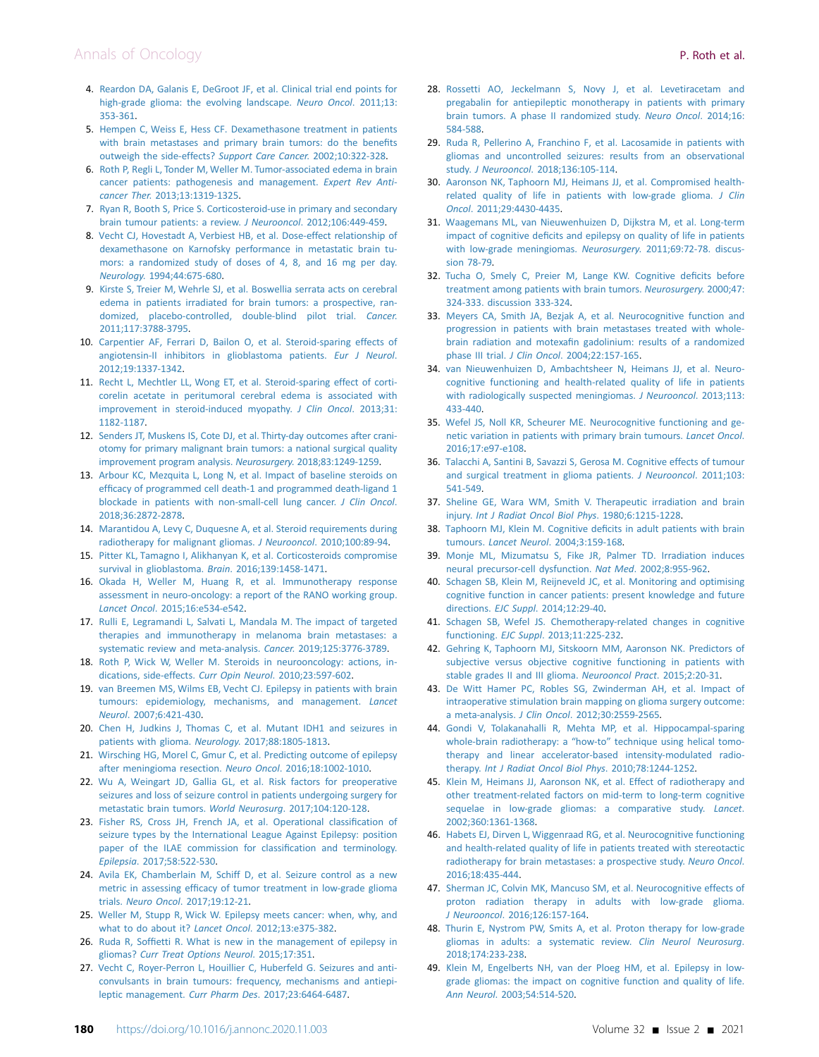- <span id="page-9-0"></span>4. [Reardon DA, Galanis E, DeGroot JF, et al. Clinical trial end points for](http://refhub.elsevier.com/S0923-7534(20)43146-1/sref4) [high-grade glioma: the evolving landscape.](http://refhub.elsevier.com/S0923-7534(20)43146-1/sref4) Neuro Oncol. 2011;13: [353-361.](http://refhub.elsevier.com/S0923-7534(20)43146-1/sref4)
- <span id="page-9-1"></span>5. [Hempen C, Weiss E, Hess CF. Dexamethasone treatment in patients](http://refhub.elsevier.com/S0923-7534(20)43146-1/sref5) [with brain metastases and primary brain tumors: do the bene](http://refhub.elsevier.com/S0923-7534(20)43146-1/sref5)fits [outweigh the side-effects?](http://refhub.elsevier.com/S0923-7534(20)43146-1/sref5) Support Care Cancer. 2002;10:322-328.
- <span id="page-9-2"></span>6. [Roth P, Regli L, Tonder M, Weller M. Tumor-associated edema in brain](http://refhub.elsevier.com/S0923-7534(20)43146-1/sref6) [cancer patients: pathogenesis and management.](http://refhub.elsevier.com/S0923-7534(20)43146-1/sref6) Expert Rev Anticancer Ther[. 2013;13:1319-1325](http://refhub.elsevier.com/S0923-7534(20)43146-1/sref6).
- <span id="page-9-3"></span>7. [Ryan R, Booth S, Price S. Corticosteroid-use in primary and secondary](http://refhub.elsevier.com/S0923-7534(20)43146-1/sref7) [brain tumour patients: a review.](http://refhub.elsevier.com/S0923-7534(20)43146-1/sref7) J Neurooncol. 2012;106:449-459.
- <span id="page-9-4"></span>8. [Vecht CJ, Hovestadt A, Verbiest HB, et al. Dose-effect relationship of](http://refhub.elsevier.com/S0923-7534(20)43146-1/sref8) [dexamethasone on Karnofsky performance in metastatic brain tu](http://refhub.elsevier.com/S0923-7534(20)43146-1/sref8)[mors: a randomized study of doses of 4, 8, and 16 mg per day.](http://refhub.elsevier.com/S0923-7534(20)43146-1/sref8) Neurology[. 1994;44:675-680.](http://refhub.elsevier.com/S0923-7534(20)43146-1/sref8)
- <span id="page-9-5"></span>9. [Kirste S, Treier M, Wehrle SJ, et al. Boswellia serrata acts on cerebral](http://refhub.elsevier.com/S0923-7534(20)43146-1/sref9) [edema in patients irradiated for brain tumors: a prospective, ran](http://refhub.elsevier.com/S0923-7534(20)43146-1/sref9)[domized, placebo-controlled, double-blind pilot trial.](http://refhub.elsevier.com/S0923-7534(20)43146-1/sref9) Cancer. [2011;117:3788-3795.](http://refhub.elsevier.com/S0923-7534(20)43146-1/sref9)
- 10. [Carpentier AF, Ferrari D, Bailon O, et al. Steroid-sparing effects of](http://refhub.elsevier.com/S0923-7534(20)43146-1/sref10) [angiotensin-II inhibitors in glioblastoma patients.](http://refhub.elsevier.com/S0923-7534(20)43146-1/sref10) Eur J Neurol. [2012;19:1337-1342](http://refhub.elsevier.com/S0923-7534(20)43146-1/sref10).
- 11. [Recht L, Mechtler LL, Wong ET, et al. Steroid-sparing effect of corti](http://refhub.elsevier.com/S0923-7534(20)43146-1/sref11)[corelin acetate in peritumoral cerebral edema is associated with](http://refhub.elsevier.com/S0923-7534(20)43146-1/sref11) [improvement in steroid-induced myopathy.](http://refhub.elsevier.com/S0923-7534(20)43146-1/sref11) J Clin Oncol. 2013;31: [1182-1187](http://refhub.elsevier.com/S0923-7534(20)43146-1/sref11).
- 12. [Senders JT, Muskens IS, Cote DJ, et al. Thirty-day outcomes after crani](http://refhub.elsevier.com/S0923-7534(20)43146-1/sref12)[otomy for primary malignant brain tumors: a national surgical quality](http://refhub.elsevier.com/S0923-7534(20)43146-1/sref12) [improvement program analysis.](http://refhub.elsevier.com/S0923-7534(20)43146-1/sref12) Neurosurgery. 2018;83:1249-1259.
- <span id="page-9-6"></span>13. [Arbour KC, Mezquita L, Long N, et al. Impact of baseline steroids on](http://refhub.elsevier.com/S0923-7534(20)43146-1/sref13) effi[cacy of programmed cell death-1 and programmed death-ligand 1](http://refhub.elsevier.com/S0923-7534(20)43146-1/sref13) [blockade in patients with non-small-cell lung cancer.](http://refhub.elsevier.com/S0923-7534(20)43146-1/sref13) J Clin Oncol. [2018;36:2872-2878](http://refhub.elsevier.com/S0923-7534(20)43146-1/sref13).
- <span id="page-9-7"></span>14. [Marantidou A, Levy C, Duquesne A, et al. Steroid requirements during](http://refhub.elsevier.com/S0923-7534(20)43146-1/sref14) [radiotherapy for malignant gliomas.](http://refhub.elsevier.com/S0923-7534(20)43146-1/sref14) J Neurooncol. 2010;100:89-94.
- <span id="page-9-8"></span>15. [Pitter KL, Tamagno I, Alikhanyan K, et al. Corticosteroids compromise](http://refhub.elsevier.com/S0923-7534(20)43146-1/sref15) [survival in glioblastoma.](http://refhub.elsevier.com/S0923-7534(20)43146-1/sref15) Brain. 2016;139:1458-1471.
- <span id="page-9-9"></span>16. [Okada H, Weller M, Huang R, et al. Immunotherapy response](http://refhub.elsevier.com/S0923-7534(20)43146-1/sref16) [assessment in neuro-oncology: a report of the RANO working group.](http://refhub.elsevier.com/S0923-7534(20)43146-1/sref16) Lancet Oncol[. 2015;16:e534-e542.](http://refhub.elsevier.com/S0923-7534(20)43146-1/sref16)
- <span id="page-9-10"></span>17. [Rulli E, Legramandi L, Salvati L, Mandala M. The impact of targeted](http://refhub.elsevier.com/S0923-7534(20)43146-1/sref17) [therapies and immunotherapy in melanoma brain metastases: a](http://refhub.elsevier.com/S0923-7534(20)43146-1/sref17) [systematic review and meta-analysis.](http://refhub.elsevier.com/S0923-7534(20)43146-1/sref17) Cancer. 2019;125:3776-3789.
- <span id="page-9-11"></span>18. [Roth P, Wick W, Weller M. Steroids in neurooncology: actions, in](http://refhub.elsevier.com/S0923-7534(20)43146-1/sref18)[dications, side-effects.](http://refhub.elsevier.com/S0923-7534(20)43146-1/sref18) Curr Opin Neurol. 2010;23:597-602.
- <span id="page-9-12"></span>19. [van Breemen MS, Wilms EB, Vecht CJ. Epilepsy in patients with brain](http://refhub.elsevier.com/S0923-7534(20)43146-1/sref19) [tumours: epidemiology, mechanisms, and management.](http://refhub.elsevier.com/S0923-7534(20)43146-1/sref19) Lancet Neurol[. 2007;6:421-430](http://refhub.elsevier.com/S0923-7534(20)43146-1/sref19).
- <span id="page-9-13"></span>20. [Chen H, Judkins J, Thomas C, et al. Mutant IDH1 and seizures in](http://refhub.elsevier.com/S0923-7534(20)43146-1/sref20) [patients with glioma.](http://refhub.elsevier.com/S0923-7534(20)43146-1/sref20) Neurology. 2017;88:1805-1813.
- <span id="page-9-14"></span>21. [Wirsching HG, Morel C, Gmur C, et al. Predicting outcome of epilepsy](http://refhub.elsevier.com/S0923-7534(20)43146-1/sref21) [after meningioma resection.](http://refhub.elsevier.com/S0923-7534(20)43146-1/sref21) Neuro Oncol. 2016;18:1002-1010.
- <span id="page-9-15"></span>22. [Wu A, Weingart JD, Gallia GL, et al. Risk factors for preoperative](http://refhub.elsevier.com/S0923-7534(20)43146-1/sref22) [seizures and loss of seizure control in patients undergoing surgery for](http://refhub.elsevier.com/S0923-7534(20)43146-1/sref22) [metastatic brain tumors.](http://refhub.elsevier.com/S0923-7534(20)43146-1/sref22) World Neurosurg. 2017;104:120-128.
- <span id="page-9-16"></span>23. [Fisher RS, Cross JH, French JA, et al. Operational classi](http://refhub.elsevier.com/S0923-7534(20)43146-1/sref23)fication of [seizure types by the International League Against Epilepsy: position](http://refhub.elsevier.com/S0923-7534(20)43146-1/sref23) [paper of the ILAE commission for classi](http://refhub.elsevier.com/S0923-7534(20)43146-1/sref23)fication and terminology. Epilepsia[. 2017;58:522-530](http://refhub.elsevier.com/S0923-7534(20)43146-1/sref23).
- <span id="page-9-17"></span>24. [Avila EK, Chamberlain M, Schiff D, et al. Seizure control as a new](http://refhub.elsevier.com/S0923-7534(20)43146-1/sref24) metric in assessing effi[cacy of tumor treatment in low-grade glioma](http://refhub.elsevier.com/S0923-7534(20)43146-1/sref24) trials. Neuro Oncol[. 2017;19:12-21.](http://refhub.elsevier.com/S0923-7534(20)43146-1/sref24)
- <span id="page-9-18"></span>25. [Weller M, Stupp R, Wick W. Epilepsy meets cancer: when, why, and](http://refhub.elsevier.com/S0923-7534(20)43146-1/sref25) [what to do about it?](http://refhub.elsevier.com/S0923-7534(20)43146-1/sref25) Lancet Oncol. 2012;13:e375-382.
- <span id="page-9-19"></span>26. Ruda R, Soffi[etti R. What is new in the management of epilepsy in](http://refhub.elsevier.com/S0923-7534(20)43146-1/sref26) gliomas? [Curr Treat Options Neurol](http://refhub.elsevier.com/S0923-7534(20)43146-1/sref26). 2015;17:351.
- <span id="page-9-20"></span>27. [Vecht C, Royer-Perron L, Houillier C, Huberfeld G. Seizures and anti](http://refhub.elsevier.com/S0923-7534(20)43146-1/sref27)[convulsants in brain tumours: frequency, mechanisms and antiepi](http://refhub.elsevier.com/S0923-7534(20)43146-1/sref27)leptic management. Curr Pharm Des[. 2017;23:6464-6487.](http://refhub.elsevier.com/S0923-7534(20)43146-1/sref27)
- <span id="page-9-21"></span>28. [Rossetti AO, Jeckelmann S, Novy J, et al. Levetiracetam and](http://refhub.elsevier.com/S0923-7534(20)43146-1/sref28) [pregabalin for antiepileptic monotherapy in patients with primary](http://refhub.elsevier.com/S0923-7534(20)43146-1/sref28) [brain tumors. A phase II randomized study.](http://refhub.elsevier.com/S0923-7534(20)43146-1/sref28) Neuro Oncol. 2014;16: [584-588](http://refhub.elsevier.com/S0923-7534(20)43146-1/sref28).
- <span id="page-9-22"></span>29. [Ruda R, Pellerino A, Franchino F, et al. Lacosamide in patients with](http://refhub.elsevier.com/S0923-7534(20)43146-1/sref29) [gliomas and uncontrolled seizures: results from an observational](http://refhub.elsevier.com/S0923-7534(20)43146-1/sref29) study. J Neurooncol[. 2018;136:105-114](http://refhub.elsevier.com/S0923-7534(20)43146-1/sref29).
- <span id="page-9-23"></span>30. [Aaronson NK, Taphoorn MJ, Heimans JJ, et al. Compromised health](http://refhub.elsevier.com/S0923-7534(20)43146-1/sref30)[related quality of life in patients with low-grade glioma.](http://refhub.elsevier.com/S0923-7534(20)43146-1/sref30) J Clin Oncol[. 2011;29:4430-4435.](http://refhub.elsevier.com/S0923-7534(20)43146-1/sref30)
- <span id="page-9-24"></span>31. [Waagemans ML, van Nieuwenhuizen D, Dijkstra M, et al. Long-term](http://refhub.elsevier.com/S0923-7534(20)43146-1/sref31) impact of cognitive defi[cits and epilepsy on quality of life in patients](http://refhub.elsevier.com/S0923-7534(20)43146-1/sref31) [with low-grade meningiomas.](http://refhub.elsevier.com/S0923-7534(20)43146-1/sref31) Neurosurgery. 2011;69:72-78. discus[sion 78-79.](http://refhub.elsevier.com/S0923-7534(20)43146-1/sref31)
- <span id="page-9-25"></span>32. [Tucha O, Smely C, Preier M, Lange KW. Cognitive de](http://refhub.elsevier.com/S0923-7534(20)43146-1/sref32)ficits before [treatment among patients with brain tumors.](http://refhub.elsevier.com/S0923-7534(20)43146-1/sref32) Neurosurgery. 2000;47: [324-333. discussion 333-324](http://refhub.elsevier.com/S0923-7534(20)43146-1/sref32).
- <span id="page-9-26"></span>33. [Meyers CA, Smith JA, Bezjak A, et al. Neurocognitive function and](http://refhub.elsevier.com/S0923-7534(20)43146-1/sref33) [progression in patients with brain metastases treated with whole](http://refhub.elsevier.com/S0923-7534(20)43146-1/sref33)brain radiation and motexafi[n gadolinium: results of a randomized](http://refhub.elsevier.com/S0923-7534(20)43146-1/sref33) phase III trial. J Clin Oncol[. 2004;22:157-165](http://refhub.elsevier.com/S0923-7534(20)43146-1/sref33).
- <span id="page-9-27"></span>34. [van Nieuwenhuizen D, Ambachtsheer N, Heimans JJ, et al. Neuro](http://refhub.elsevier.com/S0923-7534(20)43146-1/sref34)[cognitive functioning and health-related quality of life in patients](http://refhub.elsevier.com/S0923-7534(20)43146-1/sref34) [with radiologically suspected meningiomas.](http://refhub.elsevier.com/S0923-7534(20)43146-1/sref34) J Neurooncol. 2013;113: [433-440](http://refhub.elsevier.com/S0923-7534(20)43146-1/sref34).
- <span id="page-9-28"></span>35. [Wefel JS, Noll KR, Scheurer ME. Neurocognitive functioning and ge](http://refhub.elsevier.com/S0923-7534(20)43146-1/sref35)[netic variation in patients with primary brain tumours.](http://refhub.elsevier.com/S0923-7534(20)43146-1/sref35) Lancet Oncol. [2016;17:e97-e108.](http://refhub.elsevier.com/S0923-7534(20)43146-1/sref35)
- <span id="page-9-29"></span>36. [Talacchi A, Santini B, Savazzi S, Gerosa M. Cognitive effects of tumour](http://refhub.elsevier.com/S0923-7534(20)43146-1/sref36) [and surgical treatment in glioma patients.](http://refhub.elsevier.com/S0923-7534(20)43146-1/sref36) J Neurooncol. 2011;103: [541-549](http://refhub.elsevier.com/S0923-7534(20)43146-1/sref36).
- <span id="page-9-30"></span>37. [Sheline GE, Wara WM, Smith V. Therapeutic irradiation and brain](http://refhub.elsevier.com/S0923-7534(20)43146-1/sref37) injury. [Int J Radiat Oncol Biol Phys](http://refhub.elsevier.com/S0923-7534(20)43146-1/sref37). 1980;6:1215-1228.
- <span id="page-9-31"></span>38. [Taphoorn MJ, Klein M. Cognitive de](http://refhub.elsevier.com/S0923-7534(20)43146-1/sref38)ficits in adult patients with brain tumours. Lancet Neurol[. 2004;3:159-168](http://refhub.elsevier.com/S0923-7534(20)43146-1/sref38).
- <span id="page-9-32"></span>39. [Monje ML, Mizumatsu S, Fike JR, Palmer TD. Irradiation induces](http://refhub.elsevier.com/S0923-7534(20)43146-1/sref39) [neural precursor-cell dysfunction.](http://refhub.elsevier.com/S0923-7534(20)43146-1/sref39) Nat Med. 2002;8:955-962.
- <span id="page-9-33"></span>40. [Schagen SB, Klein M, Reijneveld JC, et al. Monitoring and optimising](http://refhub.elsevier.com/S0923-7534(20)43146-1/sref40) [cognitive function in cancer patients: present knowledge and future](http://refhub.elsevier.com/S0923-7534(20)43146-1/sref40) directions. EJC Suppl[. 2014;12:29-40.](http://refhub.elsevier.com/S0923-7534(20)43146-1/sref40)
- <span id="page-9-34"></span>41. [Schagen SB, Wefel JS. Chemotherapy-related changes in cognitive](http://refhub.elsevier.com/S0923-7534(20)43146-1/sref41) functioning. EJC Suppl[. 2013;11:225-232](http://refhub.elsevier.com/S0923-7534(20)43146-1/sref41).
- <span id="page-9-35"></span>42. [Gehring K, Taphoorn MJ, Sitskoorn MM, Aaronson NK. Predictors of](http://refhub.elsevier.com/S0923-7534(20)43146-1/sref42) [subjective versus objective cognitive functioning in patients with](http://refhub.elsevier.com/S0923-7534(20)43146-1/sref42) [stable grades II and III glioma.](http://refhub.elsevier.com/S0923-7534(20)43146-1/sref42) Neurooncol Pract. 2015;2:20-31.
- <span id="page-9-36"></span>43. [De Witt Hamer PC, Robles SG, Zwinderman AH, et al. Impact of](http://refhub.elsevier.com/S0923-7534(20)43146-1/sref43) [intraoperative stimulation brain mapping on glioma surgery outcome:](http://refhub.elsevier.com/S0923-7534(20)43146-1/sref43) a meta-analysis. J Clin Oncol[. 2012;30:2559-2565](http://refhub.elsevier.com/S0923-7534(20)43146-1/sref43).
- <span id="page-9-37"></span>44. [Gondi V, Tolakanahalli R, Mehta MP, et al. Hippocampal-sparing](http://refhub.elsevier.com/S0923-7534(20)43146-1/sref44) whole-brain radiotherapy: a "how-to" [technique using helical tomo](http://refhub.elsevier.com/S0923-7534(20)43146-1/sref44)[therapy and linear accelerator-based intensity-modulated radio](http://refhub.elsevier.com/S0923-7534(20)43146-1/sref44)therapy. [Int J Radiat Oncol Biol Phys](http://refhub.elsevier.com/S0923-7534(20)43146-1/sref44). 2010;78:1244-1252.
- <span id="page-9-38"></span>45. [Klein M, Heimans JJ, Aaronson NK, et al. Effect of radiotherapy and](http://refhub.elsevier.com/S0923-7534(20)43146-1/sref45) [other treatment-related factors on mid-term to long-term cognitive](http://refhub.elsevier.com/S0923-7534(20)43146-1/sref45) [sequelae in low-grade gliomas: a comparative study.](http://refhub.elsevier.com/S0923-7534(20)43146-1/sref45) Lancet. [2002;360:1361-1368.](http://refhub.elsevier.com/S0923-7534(20)43146-1/sref45)
- <span id="page-9-39"></span>46. [Habets EJ, Dirven L, Wiggenraad RG, et al. Neurocognitive functioning](http://refhub.elsevier.com/S0923-7534(20)43146-1/sref46) [and health-related quality of life in patients treated with stereotactic](http://refhub.elsevier.com/S0923-7534(20)43146-1/sref46) [radiotherapy for brain metastases: a prospective study.](http://refhub.elsevier.com/S0923-7534(20)43146-1/sref46) Neuro Oncol. [2016;18:435-444](http://refhub.elsevier.com/S0923-7534(20)43146-1/sref46).
- <span id="page-9-40"></span>47. [Sherman JC, Colvin MK, Mancuso SM, et al. Neurocognitive effects of](http://refhub.elsevier.com/S0923-7534(20)43146-1/sref47) [proton radiation therapy in adults with low-grade glioma.](http://refhub.elsevier.com/S0923-7534(20)43146-1/sref47) J Neurooncol[. 2016;126:157-164.](http://refhub.elsevier.com/S0923-7534(20)43146-1/sref47)
- <span id="page-9-41"></span>48. [Thurin E, Nystrom PW, Smits A, et al. Proton therapy for low-grade](http://refhub.elsevier.com/S0923-7534(20)43146-1/sref48) [gliomas in adults: a systematic review.](http://refhub.elsevier.com/S0923-7534(20)43146-1/sref48) Clin Neurol Neurosurg. [2018;174:233-238](http://refhub.elsevier.com/S0923-7534(20)43146-1/sref48).
- <span id="page-9-42"></span>49. [Klein M, Engelberts NH, van der Ploeg HM, et al. Epilepsy in low](http://refhub.elsevier.com/S0923-7534(20)43146-1/sref49)[grade gliomas: the impact on cognitive function and quality of life.](http://refhub.elsevier.com/S0923-7534(20)43146-1/sref49) Ann Neurol[. 2003;54:514-520](http://refhub.elsevier.com/S0923-7534(20)43146-1/sref49).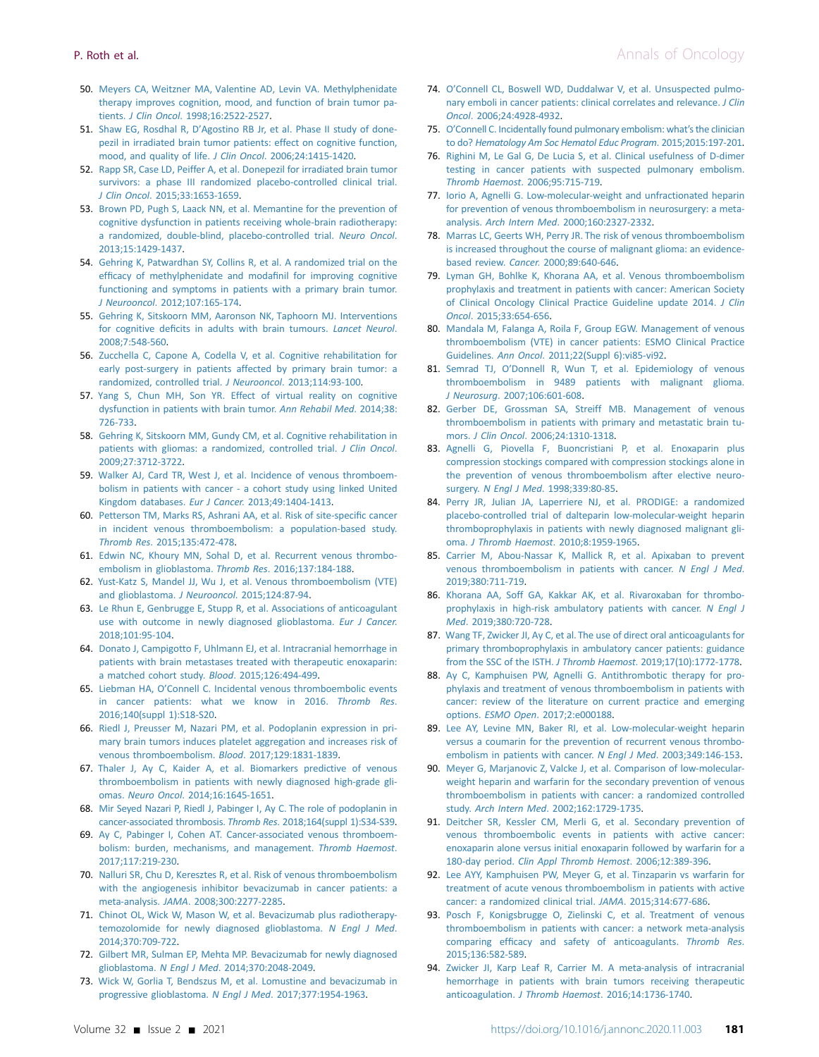- <span id="page-10-0"></span>50. [Meyers CA, Weitzner MA, Valentine AD, Levin VA. Methylphenidate](http://refhub.elsevier.com/S0923-7534(20)43146-1/sref50) [therapy improves cognition, mood, and function of brain tumor pa](http://refhub.elsevier.com/S0923-7534(20)43146-1/sref50)tients. J Clin Oncol[. 1998;16:2522-2527](http://refhub.elsevier.com/S0923-7534(20)43146-1/sref50).
- <span id="page-10-1"></span>51. Shaw EG, Rosdhal R, D'[Agostino RB Jr, et al. Phase II study of done](http://refhub.elsevier.com/S0923-7534(20)43146-1/sref51)[pezil in irradiated brain tumor patients: effect on cognitive function,](http://refhub.elsevier.com/S0923-7534(20)43146-1/sref51) [mood, and quality of life.](http://refhub.elsevier.com/S0923-7534(20)43146-1/sref51) J Clin Oncol. 2006;24:1415-1420.
- <span id="page-10-2"></span>52. [Rapp SR, Case LD, Peiffer A, et al. Donepezil for irradiated brain tumor](http://refhub.elsevier.com/S0923-7534(20)43146-1/sref52) [survivors: a phase III randomized placebo-controlled clinical trial.](http://refhub.elsevier.com/S0923-7534(20)43146-1/sref52) J Clin Oncol[. 2015;33:1653-1659.](http://refhub.elsevier.com/S0923-7534(20)43146-1/sref52)
- <span id="page-10-3"></span>53. [Brown PD, Pugh S, Laack NN, et al. Memantine for the prevention of](http://refhub.elsevier.com/S0923-7534(20)43146-1/sref53) [cognitive dysfunction in patients receiving whole-brain radiotherapy:](http://refhub.elsevier.com/S0923-7534(20)43146-1/sref53) [a randomized, double-blind, placebo-controlled trial.](http://refhub.elsevier.com/S0923-7534(20)43146-1/sref53) Neuro Oncol. [2013;15:1429-1437](http://refhub.elsevier.com/S0923-7534(20)43146-1/sref53).
- <span id="page-10-4"></span>54. [Gehring K, Patwardhan SY, Collins R, et al. A randomized trial on the](http://refhub.elsevier.com/S0923-7534(20)43146-1/sref54) effi[cacy of methylphenidate and moda](http://refhub.elsevier.com/S0923-7534(20)43146-1/sref54)finil for improving cognitive [functioning and symptoms in patients with a primary brain tumor.](http://refhub.elsevier.com/S0923-7534(20)43146-1/sref54) J Neurooncol[. 2012;107:165-174.](http://refhub.elsevier.com/S0923-7534(20)43146-1/sref54)
- <span id="page-10-5"></span>55. [Gehring K, Sitskoorn MM, Aaronson NK, Taphoorn MJ. Interventions](http://refhub.elsevier.com/S0923-7534(20)43146-1/sref55) for cognitive defi[cits in adults with brain tumours.](http://refhub.elsevier.com/S0923-7534(20)43146-1/sref55) Lancet Neurol. [2008;7:548-560](http://refhub.elsevier.com/S0923-7534(20)43146-1/sref55).
- 56. [Zucchella C, Capone A, Codella V, et al. Cognitive rehabilitation for](http://refhub.elsevier.com/S0923-7534(20)43146-1/sref56) [early post-surgery in patients affected by primary brain tumor: a](http://refhub.elsevier.com/S0923-7534(20)43146-1/sref56) [randomized, controlled trial.](http://refhub.elsevier.com/S0923-7534(20)43146-1/sref56) J Neurooncol. 2013;114:93-100.
- 57. [Yang S, Chun MH, Son YR. Effect of virtual reality on cognitive](http://refhub.elsevier.com/S0923-7534(20)43146-1/sref57) [dysfunction in patients with brain tumor.](http://refhub.elsevier.com/S0923-7534(20)43146-1/sref57) Ann Rehabil Med. 2014;38: [726-733](http://refhub.elsevier.com/S0923-7534(20)43146-1/sref57).
- <span id="page-10-6"></span>58. [Gehring K, Sitskoorn MM, Gundy CM, et al. Cognitive rehabilitation in](http://refhub.elsevier.com/S0923-7534(20)43146-1/sref58) patients with gliomas: a randomized, controlled trial, J Clin Oncol. [2009;27:3712-3722](http://refhub.elsevier.com/S0923-7534(20)43146-1/sref58).
- <span id="page-10-7"></span>59. [Walker AJ, Card TR, West J, et al. Incidence of venous thromboem](http://refhub.elsevier.com/S0923-7534(20)43146-1/sref59)[bolism in patients with cancer - a cohort study using linked United](http://refhub.elsevier.com/S0923-7534(20)43146-1/sref59) Kingdom databases. Eur J Cancer[. 2013;49:1404-1413.](http://refhub.elsevier.com/S0923-7534(20)43146-1/sref59)
- <span id="page-10-8"></span>60. [Petterson TM, Marks RS, Ashrani AA, et al. Risk of site-speci](http://refhub.elsevier.com/S0923-7534(20)43146-1/sref60)fic cancer [in incident venous thromboembolism: a population-based study.](http://refhub.elsevier.com/S0923-7534(20)43146-1/sref60) Thromb Res[. 2015;135:472-478](http://refhub.elsevier.com/S0923-7534(20)43146-1/sref60).
- <span id="page-10-9"></span>61. [Edwin NC, Khoury MN, Sohal D, et al. Recurrent venous thrombo](http://refhub.elsevier.com/S0923-7534(20)43146-1/sref61)[embolism in glioblastoma.](http://refhub.elsevier.com/S0923-7534(20)43146-1/sref61) Thromb Res. 2016;137:184-188.
- <span id="page-10-10"></span>62. [Yust-Katz S, Mandel JJ, Wu J, et al. Venous thromboembolism \(VTE\)](http://refhub.elsevier.com/S0923-7534(20)43146-1/sref62) [and glioblastoma.](http://refhub.elsevier.com/S0923-7534(20)43146-1/sref62) J Neurooncol. 2015;124:87-94.
- <span id="page-10-11"></span>63. [Le Rhun E, Genbrugge E, Stupp R, et al. Associations of anticoagulant](http://refhub.elsevier.com/S0923-7534(20)43146-1/sref63) [use with outcome in newly diagnosed glioblastoma.](http://refhub.elsevier.com/S0923-7534(20)43146-1/sref63) Eur J Cancer. [2018;101:95-104](http://refhub.elsevier.com/S0923-7534(20)43146-1/sref63).
- <span id="page-10-12"></span>64. [Donato J, Campigotto F, Uhlmann EJ, et al. Intracranial hemorrhage in](http://refhub.elsevier.com/S0923-7534(20)43146-1/sref64) [patients with brain metastases treated with therapeutic enoxaparin:](http://refhub.elsevier.com/S0923-7534(20)43146-1/sref64) [a matched cohort study.](http://refhub.elsevier.com/S0923-7534(20)43146-1/sref64) Blood. 2015;126:494-499.
- <span id="page-10-13"></span>65. Liebman HA, O'[Connell C. Incidental venous thromboembolic events](http://refhub.elsevier.com/S0923-7534(20)43146-1/sref65) [in cancer patients: what we know in 2016.](http://refhub.elsevier.com/S0923-7534(20)43146-1/sref65) Thromb Res. [2016;140\(suppl 1\):S18-S20](http://refhub.elsevier.com/S0923-7534(20)43146-1/sref65).
- <span id="page-10-14"></span>66. [Riedl J, Preusser M, Nazari PM, et al. Podoplanin expression in pri](http://refhub.elsevier.com/S0923-7534(20)43146-1/sref66)[mary brain tumors induces platelet aggregation and increases risk of](http://refhub.elsevier.com/S0923-7534(20)43146-1/sref66) [venous thromboembolism.](http://refhub.elsevier.com/S0923-7534(20)43146-1/sref66) Blood. 2017;129:1831-1839.
- 67. [Thaler J, Ay C, Kaider A, et al. Biomarkers predictive of venous](http://refhub.elsevier.com/S0923-7534(20)43146-1/sref67) [thromboembolism in patients with newly diagnosed high-grade gli](http://refhub.elsevier.com/S0923-7534(20)43146-1/sref67)omas. Neuro Oncol[. 2014;16:1645-1651](http://refhub.elsevier.com/S0923-7534(20)43146-1/sref67).
- 68. [Mir Seyed Nazari P, Riedl J, Pabinger I, Ay C. The role of podoplanin in](http://refhub.elsevier.com/S0923-7534(20)43146-1/sref68) [cancer-associated thrombosis.](http://refhub.elsevier.com/S0923-7534(20)43146-1/sref68) Thromb Res. 2018;164(suppl 1):S34-S39.
- <span id="page-10-15"></span>69. [Ay C, Pabinger I, Cohen AT. Cancer-associated venous thromboem](http://refhub.elsevier.com/S0923-7534(20)43146-1/sref69)[bolism: burden, mechanisms, and management.](http://refhub.elsevier.com/S0923-7534(20)43146-1/sref69) Thromb Haemost. [2017;117:219-230](http://refhub.elsevier.com/S0923-7534(20)43146-1/sref69).
- <span id="page-10-16"></span>70. [Nalluri SR, Chu D, Keresztes R, et al. Risk of venous thromboembolism](http://refhub.elsevier.com/S0923-7534(20)43146-1/sref70) [with the angiogenesis inhibitor bevacizumab in cancer patients: a](http://refhub.elsevier.com/S0923-7534(20)43146-1/sref70) meta-analysis. JAMA[. 2008;300:2277-2285](http://refhub.elsevier.com/S0923-7534(20)43146-1/sref70).
- <span id="page-10-17"></span>71. [Chinot OL, Wick W, Mason W, et al. Bevacizumab plus radiotherapy](http://refhub.elsevier.com/S0923-7534(20)43146-1/sref71)[temozolomide for newly diagnosed glioblastoma.](http://refhub.elsevier.com/S0923-7534(20)43146-1/sref71) N Engl J Med. [2014;370:709-722](http://refhub.elsevier.com/S0923-7534(20)43146-1/sref71).
- 72. [Gilbert MR, Sulman EP, Mehta MP. Bevacizumab for newly diagnosed](http://refhub.elsevier.com/S0923-7534(20)43146-1/sref72) glioblastoma. N Engl J Med[. 2014;370:2048-2049](http://refhub.elsevier.com/S0923-7534(20)43146-1/sref72).
- 73. [Wick W, Gorlia T, Bendszus M, et al. Lomustine and bevacizumab in](http://refhub.elsevier.com/S0923-7534(20)43146-1/sref73) [progressive glioblastoma.](http://refhub.elsevier.com/S0923-7534(20)43146-1/sref73) N Engl J Med. 2017;377:1954-1963.
- <span id="page-10-18"></span>74. O'[Connell CL, Boswell WD, Duddalwar V, et al. Unsuspected pulmo](http://refhub.elsevier.com/S0923-7534(20)43146-1/sref74)[nary emboli in cancer patients: clinical correlates and relevance.](http://refhub.elsevier.com/S0923-7534(20)43146-1/sref74) J Clin Oncol[. 2006;24:4928-4932.](http://refhub.elsevier.com/S0923-7534(20)43146-1/sref74)
- <span id="page-10-19"></span>75. O'[Connell C. Incidentally found pulmonary embolism: what](http://refhub.elsevier.com/S0923-7534(20)43146-1/sref75)'s the clinician to do? [Hematology Am Soc Hematol Educ Program](http://refhub.elsevier.com/S0923-7534(20)43146-1/sref75). 2015;2015:197-201.
- <span id="page-10-20"></span>76. [Righini M, Le Gal G, De Lucia S, et al. Clinical usefulness of D-dimer](http://refhub.elsevier.com/S0923-7534(20)43146-1/sref76) [testing in cancer patients with suspected pulmonary embolism.](http://refhub.elsevier.com/S0923-7534(20)43146-1/sref76) Thromb Haemost[. 2006;95:715-719.](http://refhub.elsevier.com/S0923-7534(20)43146-1/sref76)
- <span id="page-10-21"></span>77. [Iorio A, Agnelli G. Low-molecular-weight and unfractionated heparin](http://refhub.elsevier.com/S0923-7534(20)43146-1/sref77) [for prevention of venous thromboembolism in neurosurgery: a meta](http://refhub.elsevier.com/S0923-7534(20)43146-1/sref77)analysis. Arch Intern Med[. 2000;160:2327-2332](http://refhub.elsevier.com/S0923-7534(20)43146-1/sref77).
- <span id="page-10-22"></span>78. [Marras LC, Geerts WH, Perry JR. The risk of venous thromboembolism](http://refhub.elsevier.com/S0923-7534(20)43146-1/sref78) [is increased throughout the course of malignant glioma: an evidence](http://refhub.elsevier.com/S0923-7534(20)43146-1/sref78)based review. Cancer[. 2000;89:640-646.](http://refhub.elsevier.com/S0923-7534(20)43146-1/sref78)
- <span id="page-10-23"></span>79. [Lyman GH, Bohlke K, Khorana AA, et al. Venous thromboembolism](http://refhub.elsevier.com/S0923-7534(20)43146-1/sref79) [prophylaxis and treatment in patients with cancer: American Society](http://refhub.elsevier.com/S0923-7534(20)43146-1/sref79) [of Clinical Oncology Clinical Practice Guideline update 2014.](http://refhub.elsevier.com/S0923-7534(20)43146-1/sref79) J Clin Oncol[. 2015;33:654-656.](http://refhub.elsevier.com/S0923-7534(20)43146-1/sref79)
- <span id="page-10-24"></span>80. [Mandala M, Falanga A, Roila F, Group EGW. Management of venous](http://refhub.elsevier.com/S0923-7534(20)43146-1/sref80) [thromboembolism \(VTE\) in cancer patients: ESMO Clinical Practice](http://refhub.elsevier.com/S0923-7534(20)43146-1/sref80) Guidelines. Ann Oncol[. 2011;22\(Suppl 6\):vi85-vi92.](http://refhub.elsevier.com/S0923-7534(20)43146-1/sref80)
- 81. Semrad TJ, O'[Donnell R, Wun T, et al. Epidemiology of venous](http://refhub.elsevier.com/S0923-7534(20)43146-1/sref81) [thromboembolism in 9489 patients with malignant glioma.](http://refhub.elsevier.com/S0923-7534(20)43146-1/sref81) J Neurosurg[. 2007;106:601-608](http://refhub.elsevier.com/S0923-7534(20)43146-1/sref81).
- 82. [Gerber DE, Grossman SA, Streiff MB. Management of venous](http://refhub.elsevier.com/S0923-7534(20)43146-1/sref82) [thromboembolism in patients with primary and metastatic brain tu](http://refhub.elsevier.com/S0923-7534(20)43146-1/sref82)mors. J Clin Oncol[. 2006;24:1310-1318](http://refhub.elsevier.com/S0923-7534(20)43146-1/sref82).
- <span id="page-10-25"></span>83. Agnelli G. Piovella F. Buoncristiani P. et al. Enoxaparin plus [compression stockings compared with compression stockings alone in](http://refhub.elsevier.com/S0923-7534(20)43146-1/sref83) [the prevention of venous thromboembolism after elective neuro](http://refhub.elsevier.com/S0923-7534(20)43146-1/sref83)surgery. N Engl J Med[. 1998;339:80-85](http://refhub.elsevier.com/S0923-7534(20)43146-1/sref83).
- <span id="page-10-26"></span>84. [Perry JR, Julian JA, Laperriere NJ, et al. PRODIGE: a randomized](http://refhub.elsevier.com/S0923-7534(20)43146-1/sref84) [placebo-controlled trial of dalteparin low-molecular-weight heparin](http://refhub.elsevier.com/S0923-7534(20)43146-1/sref84) [thromboprophylaxis in patients with newly diagnosed malignant gli](http://refhub.elsevier.com/S0923-7534(20)43146-1/sref84)oma. J Thromb Haemost[. 2010;8:1959-1965.](http://refhub.elsevier.com/S0923-7534(20)43146-1/sref84)
- <span id="page-10-27"></span>85. [Carrier M, Abou-Nassar K, Mallick R, et al. Apixaban to prevent](http://refhub.elsevier.com/S0923-7534(20)43146-1/sref85) [venous thromboembolism in patients with cancer.](http://refhub.elsevier.com/S0923-7534(20)43146-1/sref85) N Engl J Med. [2019;380:711-719](http://refhub.elsevier.com/S0923-7534(20)43146-1/sref85).
- <span id="page-10-28"></span>86. [Khorana AA, Soff GA, Kakkar AK, et al. Rivaroxaban for thrombo](http://refhub.elsevier.com/S0923-7534(20)43146-1/sref86)[prophylaxis in high-risk ambulatory patients with cancer.](http://refhub.elsevier.com/S0923-7534(20)43146-1/sref86) N Engl J Med[. 2019;380:720-728](http://refhub.elsevier.com/S0923-7534(20)43146-1/sref86).
- <span id="page-10-29"></span>87. [Wang TF, Zwicker JI, Ay C, et al. The use of direct oral anticoagulants for](http://refhub.elsevier.com/S0923-7534(20)43146-1/sref87) [primary thromboprophylaxis in ambulatory cancer patients: guidance](http://refhub.elsevier.com/S0923-7534(20)43146-1/sref87) [from the SSC of the ISTH.](http://refhub.elsevier.com/S0923-7534(20)43146-1/sref87) J Thromb Haemost. 2019;17(10):1772-1778.
- <span id="page-10-30"></span>88. [Ay C, Kamphuisen PW, Agnelli G. Antithrombotic therapy for pro](http://refhub.elsevier.com/S0923-7534(20)43146-1/sref88)[phylaxis and treatment of venous thromboembolism in patients with](http://refhub.elsevier.com/S0923-7534(20)43146-1/sref88) [cancer: review of the literature on current practice and emerging](http://refhub.elsevier.com/S0923-7534(20)43146-1/sref88) options. ESMO Open[. 2017;2:e000188.](http://refhub.elsevier.com/S0923-7534(20)43146-1/sref88)
- <span id="page-10-31"></span>89. [Lee AY, Levine MN, Baker RI, et al. Low-molecular-weight heparin](http://refhub.elsevier.com/S0923-7534(20)43146-1/sref89) [versus a coumarin for the prevention of recurrent venous thrombo](http://refhub.elsevier.com/S0923-7534(20)43146-1/sref89)[embolism in patients with cancer.](http://refhub.elsevier.com/S0923-7534(20)43146-1/sref89) N Engl J Med. 2003;349:146-153.
- 90. [Meyer G, Marjanovic Z, Valcke J, et al. Comparison of low-molecular](http://refhub.elsevier.com/S0923-7534(20)43146-1/sref90)[weight heparin and warfarin for the secondary prevention of venous](http://refhub.elsevier.com/S0923-7534(20)43146-1/sref90) [thromboembolism in patients with cancer: a randomized controlled](http://refhub.elsevier.com/S0923-7534(20)43146-1/sref90) study. Arch Intern Med[. 2002;162:1729-1735.](http://refhub.elsevier.com/S0923-7534(20)43146-1/sref90)
- 91. [Deitcher SR, Kessler CM, Merli G, et al. Secondary prevention of](http://refhub.elsevier.com/S0923-7534(20)43146-1/sref91) [venous thromboembolic events in patients with active cancer:](http://refhub.elsevier.com/S0923-7534(20)43146-1/sref91) [enoxaparin alone versus initial enoxaparin followed by warfarin for a](http://refhub.elsevier.com/S0923-7534(20)43146-1/sref91) 180-day period. [Clin Appl Thromb Hemost](http://refhub.elsevier.com/S0923-7534(20)43146-1/sref91). 2006;12:389-396.
- 92. [Lee AYY, Kamphuisen PW, Meyer G, et al. Tinzaparin vs warfarin for](http://refhub.elsevier.com/S0923-7534(20)43146-1/sref92) [treatment of acute venous thromboembolism in patients with active](http://refhub.elsevier.com/S0923-7534(20)43146-1/sref92) [cancer: a randomized clinical trial.](http://refhub.elsevier.com/S0923-7534(20)43146-1/sref92) JAMA. 2015;314:677-686.
- 93. [Posch F, Konigsbrugge O, Zielinski C, et al. Treatment of venous](http://refhub.elsevier.com/S0923-7534(20)43146-1/sref93) [thromboembolism in patients with cancer: a network meta-analysis](http://refhub.elsevier.com/S0923-7534(20)43146-1/sref93) comparing effi[cacy and safety of anticoagulants.](http://refhub.elsevier.com/S0923-7534(20)43146-1/sref93) Thromb Res. [2015;136:582-589](http://refhub.elsevier.com/S0923-7534(20)43146-1/sref93).
- <span id="page-10-32"></span>94. [Zwicker JI, Karp Leaf R, Carrier M. A meta-analysis of intracranial](http://refhub.elsevier.com/S0923-7534(20)43146-1/sref94) [hemorrhage in patients with brain tumors receiving therapeutic](http://refhub.elsevier.com/S0923-7534(20)43146-1/sref94) anticoagulation. J Thromb Haemost[. 2016;14:1736-1740](http://refhub.elsevier.com/S0923-7534(20)43146-1/sref94).